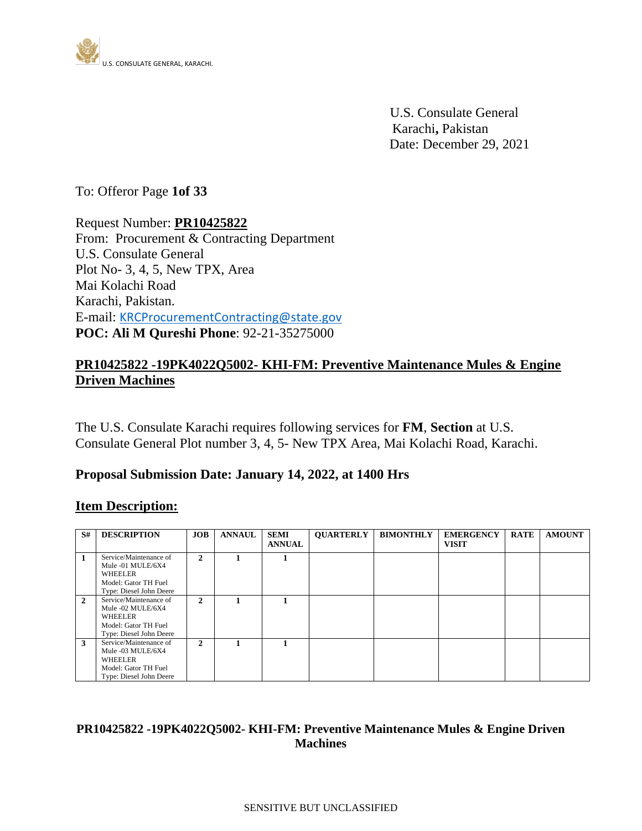

 U.S. Consulate General Karachi**,** Pakistan Date: December 29, 2021

To: Offeror Page **1of 33**

Request Number: **PR10425822** From: Procurement & Contracting Department U.S. Consulate General Plot No- 3, 4, 5, New TPX, Area Mai Kolachi Road Karachi, Pakistan. E-mail: [KRCProcurementContracting@state.gov](mailto:KRCProcurementContracting@state.gov) **POC: Ali M Qureshi Phone**: 92-21-35275000

## **PR10425822 -19PK4022Q5002- KHI-FM: Preventive Maintenance Mules & Engine Driven Machines**

The U.S. Consulate Karachi requires following services for **FM**, **Section** at U.S. Consulate General Plot number 3, 4, 5- New TPX Area, Mai Kolachi Road, Karachi.

### **Proposal Submission Date: January 14, 2022, at 1400 Hrs**

### **Item Description:**

| S#           | <b>DESCRIPTION</b>                                                                                        | JOB          | <b>ANNAUL</b> | <b>SEMI</b><br><b>ANNUAL</b> | <b>QUARTERLY</b> | <b>BIMONTHLY</b> | <b>EMERGENCY</b><br><b>VISIT</b> | <b>RATE</b> | <b>AMOUNT</b> |
|--------------|-----------------------------------------------------------------------------------------------------------|--------------|---------------|------------------------------|------------------|------------------|----------------------------------|-------------|---------------|
| 1            | Service/Maintenance of<br>Mule -01 MULE/6X4<br>WHEELER<br>Model: Gator TH Fuel<br>Type: Diesel John Deere | 2            |               |                              |                  |                  |                                  |             |               |
| $\mathbf{2}$ | Service/Maintenance of<br>Mule -02 MULE/6X4<br>WHEELER<br>Model: Gator TH Fuel<br>Type: Diesel John Deere | $\mathbf{2}$ |               |                              |                  |                  |                                  |             |               |
| 3            | Service/Maintenance of<br>Mule -03 MULE/6X4<br>WHEELER<br>Model: Gator TH Fuel<br>Type: Diesel John Deere | 2            |               |                              |                  |                  |                                  |             |               |

### **PR10425822 -19PK4022Q5002- KHI-FM: Preventive Maintenance Mules & Engine Driven Machines**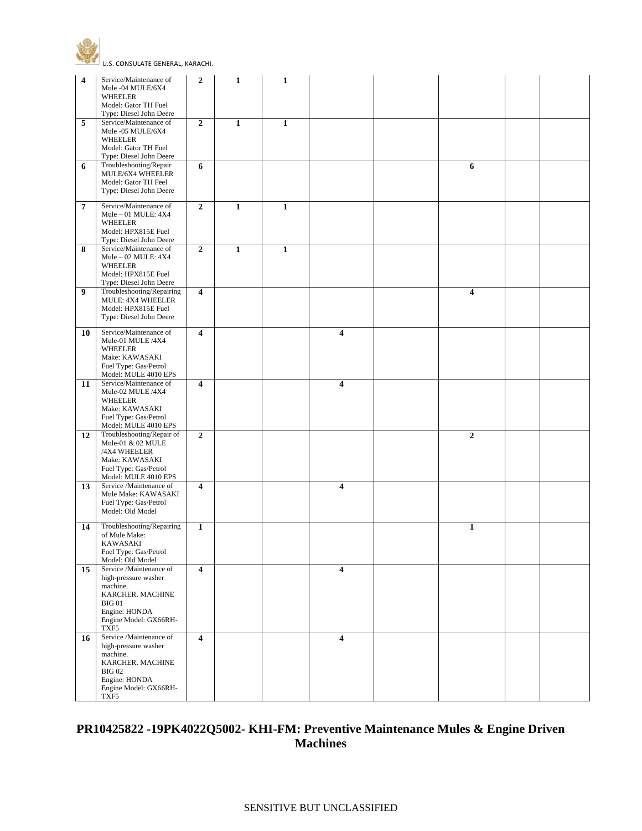

U.S. CONSULATE GENERAL, KARACHI.

| $\overline{\mathbf{4}}$ | Service/Maintenance of<br>Mule -04 MULE/6X4                                                                                                        | $\overline{2}$          | 1            | $\mathbf{1}$ |                         |              |  |
|-------------------------|----------------------------------------------------------------------------------------------------------------------------------------------------|-------------------------|--------------|--------------|-------------------------|--------------|--|
|                         | WHEELER<br>Model: Gator TH Fuel<br>Type: Diesel John Deere                                                                                         |                         |              |              |                         |              |  |
| 5                       | Service/Maintenance of<br>Mule -05 MULE/6X4<br>WHEELER<br>Model: Gator TH Fuel<br>Type: Diesel John Deere                                          | $\boldsymbol{2}$        | $\mathbf{1}$ | $\mathbf{1}$ |                         |              |  |
| 6                       | Troubleshooting/Repair<br>MULE/6X4 WHEELER<br>Model: Gator TH Feel<br>Type: Diesel John Deere                                                      | 6                       |              |              |                         | 6            |  |
| $\overline{7}$          | Service/Maintenance of<br>Mule $-01$ MULE: $4X4$<br>WHEELER<br>Model: HPX815E Fuel<br>Type: Diesel John Deere                                      | $\boldsymbol{2}$        | $\mathbf{1}$ | $\mathbf{1}$ |                         |              |  |
| 8                       | Service/Maintenance of<br>$Mule - 02 MULE: 4X4$<br>WHEELER<br>Model: HPX815E Fuel<br>Type: Diesel John Deere                                       | $\boldsymbol{2}$        | $\mathbf{1}$ | $\mathbf{1}$ |                         |              |  |
| 9                       | Troubleshooting/Repairing<br>MULE: 4X4 WHEELER<br>Model: HPX815E Fuel<br>Type: Diesel John Deere                                                   | $\overline{\mathbf{4}}$ |              |              |                         | 4            |  |
| 10                      | Service/Maintenance of<br>Mule-01 MULE /4X4<br>WHEELER<br>Make: KAWASAKI<br>Fuel Type: Gas/Petrol<br>Model: MULE 4010 EPS                          | $\overline{\mathbf{4}}$ |              |              | $\overline{\mathbf{4}}$ |              |  |
| 11                      | Service/Maintenance of<br>Mule-02 MULE /4X4<br><b>WHEELER</b><br>Make: KAWASAKI<br>Fuel Type: Gas/Petrol<br>Model: MULE 4010 EPS                   | 4                       |              |              | 4                       |              |  |
| 12                      | Troubleshooting/Repair of<br>Mule-01 & 02 MULE<br>/4X4 WHEELER<br>Make: KAWASAKI<br>Fuel Type: Gas/Petrol<br>Model: MULE 4010 EPS                  | $\mathbf{2}$            |              |              |                         | $\mathbf{2}$ |  |
| 13                      | Service /Maintenance of<br>Mule Make: KAWASAKI<br>Fuel Type: Gas/Petrol<br>Model: Old Model                                                        | $\overline{\mathbf{4}}$ |              |              | 4                       |              |  |
| 14                      | Troubleshooting/Repairing<br>of Mule Make:<br>KAWASAKI<br>Fuel Type: Gas/Petrol<br>Model: Old Model                                                | $\mathbf{1}$            |              |              |                         | $\mathbf{1}$ |  |
| 15                      | Service /Maintenance of<br>high-pressure washer<br>machine.<br>KARCHER. MACHINE<br><b>BIG 01</b><br>Engine: HONDA<br>Engine Model: GX66RH-<br>TXF5 | $\overline{\mathbf{4}}$ |              |              | $\overline{\mathbf{4}}$ |              |  |
| 16                      | Service /Maintenance of<br>high-pressure washer<br>machine.<br>KARCHER. MACHINE<br><b>BIG02</b><br>Engine: HONDA<br>Engine Model: GX66RH-<br>TXF5  | $\overline{\mathbf{4}}$ |              |              | $\overline{\mathbf{4}}$ |              |  |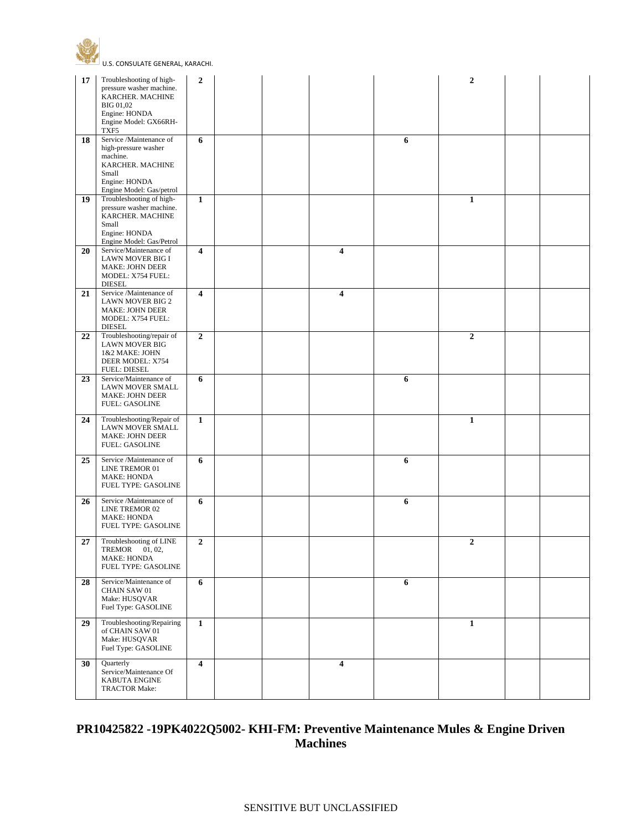



| 17 | Troubleshooting of high-                                                                                                              | $\overline{2}$          |  |                         |   | $\mathbf{2}$ |  |
|----|---------------------------------------------------------------------------------------------------------------------------------------|-------------------------|--|-------------------------|---|--------------|--|
|    | pressure washer machine.<br>KARCHER. MACHINE<br><b>BIG 01,02</b><br>Engine: HONDA<br>Engine Model: GX66RH-<br>TXF5                    |                         |  |                         |   |              |  |
| 18 | Service /Maintenance of<br>high-pressure washer<br>machine.<br>KARCHER. MACHINE<br>Small<br>Engine: HONDA<br>Engine Model: Gas/petrol | 6                       |  |                         | 6 |              |  |
| 19 | Troubleshooting of high-<br>pressure washer machine.<br>KARCHER. MACHINE<br>Small<br>Engine: HONDA<br>Engine Model: Gas/Petrol        | $\mathbf{1}$            |  |                         |   | $\mathbf{1}$ |  |
| 20 | Service/Maintenance of<br>LAWN MOVER BIG I<br><b>MAKE: JOHN DEER</b><br>MODEL: X754 FUEL:<br><b>DIESEL</b>                            | 4                       |  | $\overline{4}$          |   |              |  |
| 21 | Service /Maintenance of<br><b>LAWN MOVER BIG 2</b><br>MAKE: JOHN DEER<br>MODEL: X754 FUEL:<br><b>DIESEL</b>                           | 4                       |  | 4                       |   |              |  |
| 22 | Troubleshooting/repair of<br><b>LAWN MOVER BIG</b><br>1&2 MAKE: JOHN<br>DEER MODEL: X754<br><b>FUEL: DIESEL</b>                       | $\mathbf{2}$            |  |                         |   | $\mathbf{2}$ |  |
| 23 | Service/Maintenance of<br>LAWN MOVER SMALL<br><b>MAKE: JOHN DEER</b><br><b>FUEL: GASOLINE</b>                                         | 6                       |  |                         | 6 |              |  |
| 24 | Troubleshooting/Repair of<br>LAWN MOVER SMALL<br><b>MAKE: JOHN DEER</b><br><b>FUEL: GASOLINE</b>                                      | $\mathbf{1}$            |  |                         |   | $\mathbf{1}$ |  |
| 25 | Service /Maintenance of<br>LINE TREMOR 01<br><b>MAKE: HONDA</b><br>FUEL TYPE: GASOLINE                                                | 6                       |  |                         | 6 |              |  |
| 26 | Service /Maintenance of<br>LINE TREMOR 02<br><b>MAKE: HONDA</b><br>FUEL TYPE: GASOLINE                                                | 6                       |  |                         | 6 |              |  |
| 27 | Troubleshooting of LINE<br>TREMOR 01, 02,<br>MAKE: HONDA<br>FUEL TYPE: GASOLINE                                                       | $\mathbf 2$             |  |                         |   | 2            |  |
| 28 | Service/Maintenance of<br><b>CHAIN SAW 01</b><br>Make: HUSQVAR<br>Fuel Type: GASOLINE                                                 | 6                       |  |                         | 6 |              |  |
| 29 | Troubleshooting/Repairing<br>of CHAIN SAW 01<br>Make: HUSQVAR<br>Fuel Type: GASOLINE                                                  | $\mathbf{1}$            |  |                         |   | $\mathbf{1}$ |  |
| 30 | Quarterly<br>Service/Maintenance Of<br>KABUTA ENGINE<br><b>TRACTOR Make:</b>                                                          | $\overline{\mathbf{4}}$ |  | $\overline{\mathbf{4}}$ |   |              |  |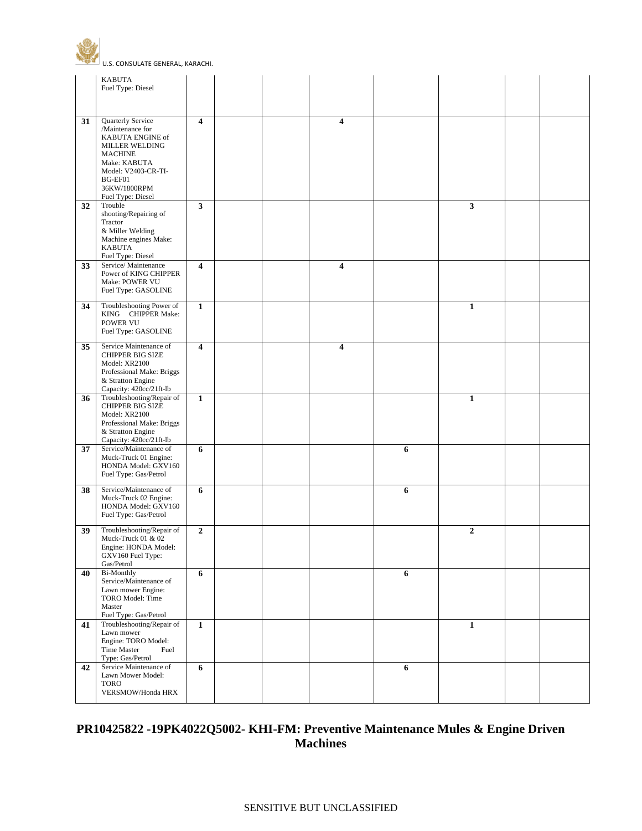

|    | <b>KABUTA</b><br>Fuel Type: Diesel                                                                                                                                                          |                  |  |   |   |                  |  |
|----|---------------------------------------------------------------------------------------------------------------------------------------------------------------------------------------------|------------------|--|---|---|------------------|--|
|    |                                                                                                                                                                                             |                  |  |   |   |                  |  |
| 31 | Quarterly Service<br>/Maintenance for<br>KABUTA ENGINE of<br><b>MILLER WELDING</b><br><b>MACHINE</b><br>Make: KABUTA<br>Model: V2403-CR-TI-<br>BG-EF01<br>36KW/1800RPM<br>Fuel Type: Diesel | 4                |  | 4 |   |                  |  |
| 32 | Trouble<br>shooting/Repairing of<br>Tractor<br>& Miller Welding<br>Machine engines Make:<br><b>KABUTA</b><br>Fuel Type: Diesel                                                              | $\mathbf{3}$     |  |   |   | $\mathbf{3}$     |  |
| 33 | Service/Maintenance<br>Power of KING CHIPPER<br>Make: POWER VU<br>Fuel Type: GASOLINE                                                                                                       | 4                |  | 4 |   |                  |  |
| 34 | Troubleshooting Power of<br>KING CHIPPER Make:<br>POWER VU<br>Fuel Type: GASOLINE                                                                                                           | $\mathbf{1}$     |  |   |   | $\mathbf{1}$     |  |
| 35 | Service Maintenance of<br><b>CHIPPER BIG SIZE</b><br>Model: XR2100<br>Professional Make: Briggs<br>& Stratton Engine<br>Capacity: 420cc/21ft-lb                                             | 4                |  | 4 |   |                  |  |
| 36 | Troubleshooting/Repair of<br><b>CHIPPER BIG SIZE</b><br>Model: XR2100<br>Professional Make: Briggs<br>& Stratton Engine<br>Capacity: 420cc/21ft-lb                                          | $\mathbf{1}$     |  |   |   | $\mathbf{1}$     |  |
| 37 | Service/Maintenance of<br>Muck-Truck 01 Engine:<br>HONDA Model: GXV160<br>Fuel Type: Gas/Petrol                                                                                             | 6                |  |   | 6 |                  |  |
| 38 | Service/Maintenance of<br>Muck-Truck 02 Engine:<br>HONDA Model: GXV160<br>Fuel Type: Gas/Petrol                                                                                             | 6                |  |   | 6 |                  |  |
| 39 | Troubleshooting/Repair of<br>Muck-Truck 01 & 02<br>Engine: HONDA Model:<br>GXV160 Fuel Type:<br>Gas/Petrol                                                                                  | $\boldsymbol{2}$ |  |   |   | $\boldsymbol{2}$ |  |
| 40 | <b>Bi-Monthly</b><br>Service/Maintenance of<br>Lawn mower Engine:<br>TORO Model: Time<br>Master<br>Fuel Type: Gas/Petrol                                                                    | 6                |  |   | 6 |                  |  |
| 41 | Troubleshooting/Repair of<br>Lawn mower<br>Engine: TORO Model:<br>Time Master<br>Fuel<br>Type: Gas/Petrol                                                                                   | 1                |  |   |   | $\mathbf{1}$     |  |
| 42 | Service Maintenance of<br>Lawn Mower Model:<br><b>TORO</b><br>VERSMOW/Honda HRX                                                                                                             | 6                |  |   | 6 |                  |  |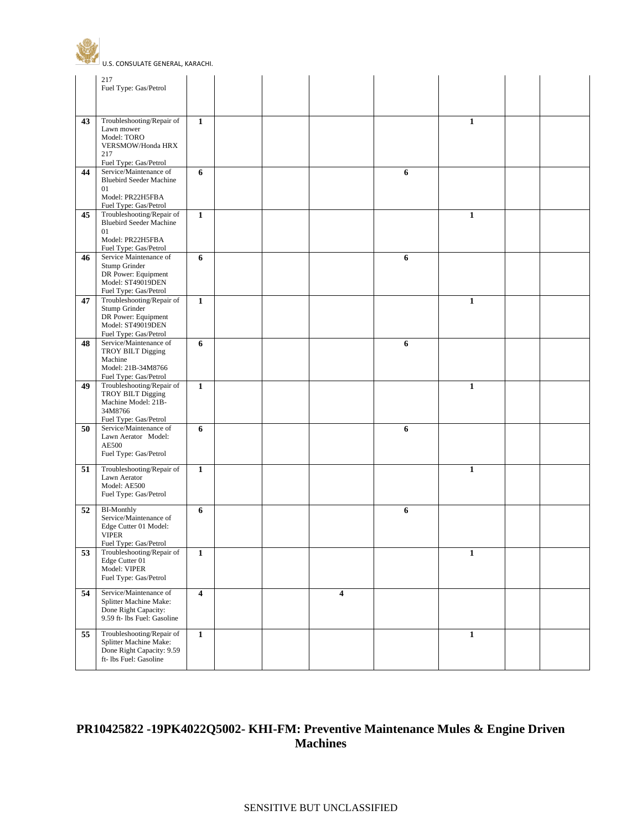

|    | 217<br>Fuel Type: Gas/Petrol                                                                                                          |                         |  |   |   |              |  |
|----|---------------------------------------------------------------------------------------------------------------------------------------|-------------------------|--|---|---|--------------|--|
|    |                                                                                                                                       |                         |  |   |   |              |  |
| 43 | Troubleshooting/Repair of<br>Lawn mower<br>Model: TORO<br>VERSMOW/Honda HRX<br>217<br>Fuel Type: Gas/Petrol                           | 1                       |  |   |   | $\mathbf{1}$ |  |
| 44 | Service/Maintenance of<br><b>Bluebird Seeder Machine</b><br>01<br>Model: PR22H5FBA<br>Fuel Type: Gas/Petrol                           | 6                       |  |   | 6 |              |  |
| 45 | Troubleshooting/Repair of<br><b>Bluebird Seeder Machine</b><br>01<br>Model: PR22H5FBA                                                 | $\mathbf{1}$            |  |   |   | $\mathbf{1}$ |  |
| 46 | Fuel Type: Gas/Petrol<br>Service Maintenance of<br>Stump Grinder<br>DR Power: Equipment<br>Model: ST49019DEN<br>Fuel Type: Gas/Petrol | 6                       |  |   | 6 |              |  |
| 47 | Troubleshooting/Repair of<br>Stump Grinder<br>DR Power: Equipment<br>Model: ST49019DEN<br>Fuel Type: Gas/Petrol                       | $\mathbf{1}$            |  |   |   | $\mathbf{1}$ |  |
| 48 | Service/Maintenance of<br><b>TROY BILT Digging</b><br>Machine<br>Model: 21B-34M8766<br>Fuel Type: Gas/Petrol                          | 6                       |  |   | 6 |              |  |
| 49 | Troubleshooting/Repair of<br><b>TROY BILT Digging</b><br>Machine Model: 21B-<br>34M8766<br>Fuel Type: Gas/Petrol                      | $\mathbf{1}$            |  |   |   | $\mathbf{1}$ |  |
| 50 | Service/Maintenance of<br>Lawn Aerator Model:<br><b>AE500</b><br>Fuel Type: Gas/Petrol                                                | 6                       |  |   | 6 |              |  |
| 51 | Troubleshooting/Repair of<br>Lawn Aerator<br>Model: AE500<br>Fuel Type: Gas/Petrol                                                    | $\mathbf{1}$            |  |   |   | $\mathbf{1}$ |  |
| 52 | <b>BI-Monthly</b><br>Service/Maintenance of<br>Edge Cutter 01 Model:<br><b>VIPER</b><br>Fuel Type: Gas/Petrol                         | 6                       |  |   | 6 |              |  |
| 53 | Troubleshooting/Repair of<br>Edge Cutter 01<br>Model: VIPER<br>Fuel Type: Gas/Petrol                                                  | $\mathbf{1}$            |  |   |   | $\mathbf{1}$ |  |
| 54 | Service/Maintenance of<br>Splitter Machine Make:<br>Done Right Capacity:<br>9.59 ft- lbs Fuel: Gasoline                               | $\overline{\mathbf{4}}$ |  | 4 |   |              |  |
| 55 | Troubleshooting/Repair of<br>Splitter Machine Make:<br>Done Right Capacity: 9.59<br>ft- lbs Fuel: Gasoline                            | $\mathbf{1}$            |  |   |   | $\mathbf{1}$ |  |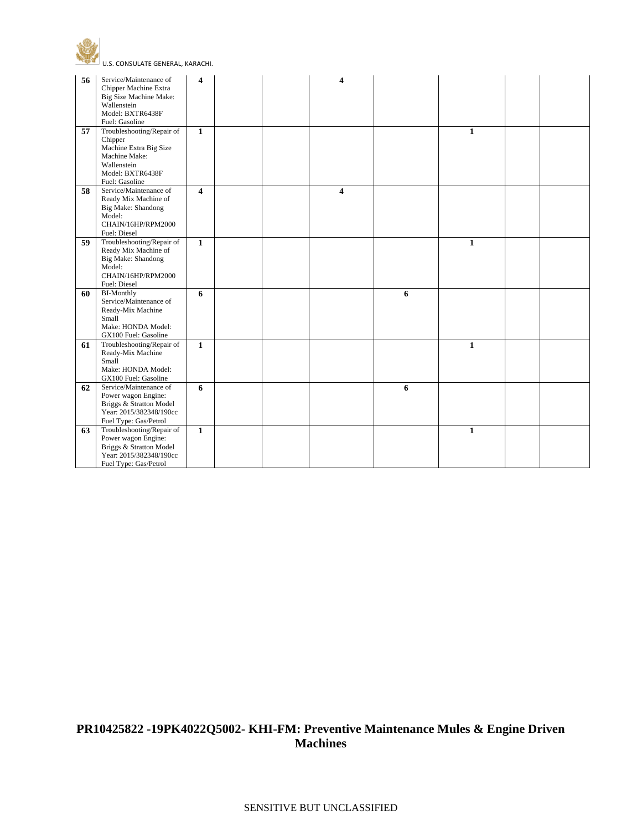



| 56 | Service/Maintenance of                         | 4                       |  | 4 |   |              |  |
|----|------------------------------------------------|-------------------------|--|---|---|--------------|--|
|    | Chipper Machine Extra                          |                         |  |   |   |              |  |
|    | Big Size Machine Make:                         |                         |  |   |   |              |  |
|    | Wallenstein                                    |                         |  |   |   |              |  |
|    | Model: BXTR6438F                               |                         |  |   |   |              |  |
|    | Fuel: Gasoline                                 |                         |  |   |   |              |  |
| 57 | Troubleshooting/Repair of                      | $\mathbf{1}$            |  |   |   | $\mathbf{1}$ |  |
|    | Chipper                                        |                         |  |   |   |              |  |
|    | Machine Extra Big Size                         |                         |  |   |   |              |  |
|    | Machine Make:                                  |                         |  |   |   |              |  |
|    | Wallenstein                                    |                         |  |   |   |              |  |
|    | Model: BXTR6438F                               |                         |  |   |   |              |  |
|    | Fuel: Gasoline                                 |                         |  |   |   |              |  |
| 58 | Service/Maintenance of                         | $\overline{\mathbf{4}}$ |  | 4 |   |              |  |
|    | Ready Mix Machine of                           |                         |  |   |   |              |  |
|    | Big Make: Shandong                             |                         |  |   |   |              |  |
|    | Model:                                         |                         |  |   |   |              |  |
|    | CHAIN/16HP/RPM2000                             |                         |  |   |   |              |  |
|    | Fuel: Diesel                                   |                         |  |   |   |              |  |
| 59 | Troubleshooting/Repair of                      | $\mathbf{1}$            |  |   |   | $\mathbf{1}$ |  |
|    | Ready Mix Machine of                           |                         |  |   |   |              |  |
|    | Big Make: Shandong                             |                         |  |   |   |              |  |
|    | Model:                                         |                         |  |   |   |              |  |
|    | CHAIN/16HP/RPM2000                             |                         |  |   |   |              |  |
|    | Fuel: Diesel                                   |                         |  |   |   |              |  |
| 60 | <b>BI-Monthly</b>                              | 6                       |  |   | 6 |              |  |
|    | Service/Maintenance of                         |                         |  |   |   |              |  |
|    | Ready-Mix Machine                              |                         |  |   |   |              |  |
|    | Small                                          |                         |  |   |   |              |  |
|    | Make: HONDA Model:                             |                         |  |   |   |              |  |
|    | GX100 Fuel: Gasoline                           |                         |  |   |   |              |  |
| 61 | Troubleshooting/Repair of                      | $\mathbf{1}$            |  |   |   | $\mathbf{1}$ |  |
|    | Ready-Mix Machine                              |                         |  |   |   |              |  |
|    | Small                                          |                         |  |   |   |              |  |
|    | Make: HONDA Model:                             |                         |  |   |   |              |  |
|    | GX100 Fuel: Gasoline                           |                         |  |   |   |              |  |
| 62 | Service/Maintenance of                         | 6                       |  |   | 6 |              |  |
|    | Power wagon Engine:                            |                         |  |   |   |              |  |
|    | Briggs & Stratton Model                        |                         |  |   |   |              |  |
|    | Year: 2015/382348/190cc                        |                         |  |   |   |              |  |
|    | Fuel Type: Gas/Petrol                          |                         |  |   |   |              |  |
| 63 | Troubleshooting/Repair of                      | $\mathbf{1}$            |  |   |   | $\mathbf{1}$ |  |
|    | Power wagon Engine:<br>Briggs & Stratton Model |                         |  |   |   |              |  |
|    | Year: 2015/382348/190cc                        |                         |  |   |   |              |  |
|    |                                                |                         |  |   |   |              |  |
|    | Fuel Type: Gas/Petrol                          |                         |  |   |   |              |  |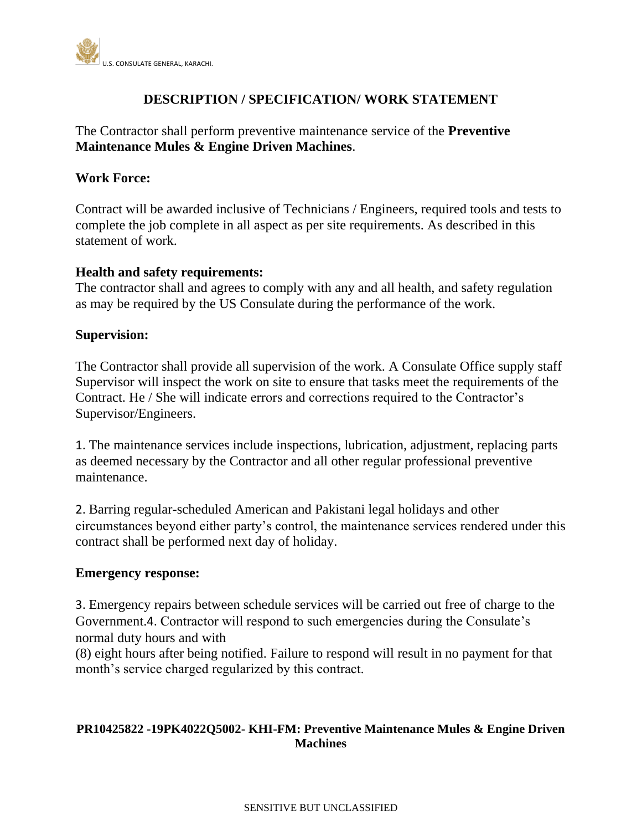

## **DESCRIPTION / SPECIFICATION/ WORK STATEMENT**

The Contractor shall perform preventive maintenance service of the **Preventive Maintenance Mules & Engine Driven Machines**.

### **Work Force:**

Contract will be awarded inclusive of Technicians / Engineers, required tools and tests to complete the job complete in all aspect as per site requirements. As described in this statement of work.

### **Health and safety requirements:**

The contractor shall and agrees to comply with any and all health, and safety regulation as may be required by the US Consulate during the performance of the work.

### **Supervision:**

The Contractor shall provide all supervision of the work. A Consulate Office supply staff Supervisor will inspect the work on site to ensure that tasks meet the requirements of the Contract. He / She will indicate errors and corrections required to the Contractor's Supervisor/Engineers.

1. The maintenance services include inspections, lubrication, adjustment, replacing parts as deemed necessary by the Contractor and all other regular professional preventive maintenance.

2. Barring regular-scheduled American and Pakistani legal holidays and other circumstances beyond either party's control, the maintenance services rendered under this contract shall be performed next day of holiday.

### **Emergency response:**

3. Emergency repairs between schedule services will be carried out free of charge to the Government.4. Contractor will respond to such emergencies during the Consulate's normal duty hours and with

(8) eight hours after being notified. Failure to respond will result in no payment for that month's service charged regularized by this contract.

## **PR10425822 -19PK4022Q5002- KHI-FM: Preventive Maintenance Mules & Engine Driven Machines**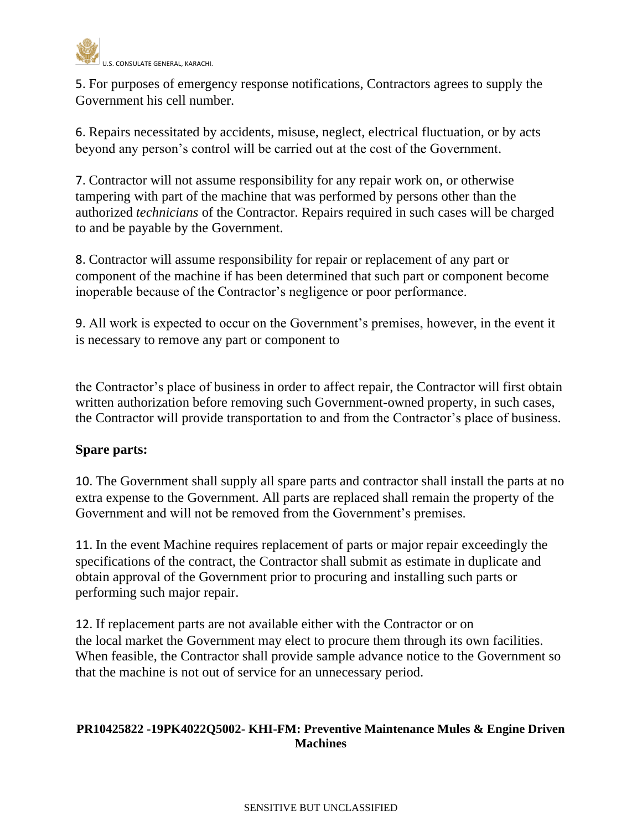

5. For purposes of emergency response notifications, Contractors agrees to supply the Government his cell number.

6. Repairs necessitated by accidents, misuse, neglect, electrical fluctuation, or by acts beyond any person's control will be carried out at the cost of the Government.

7. Contractor will not assume responsibility for any repair work on, or otherwise tampering with part of the machine that was performed by persons other than the authorized *technicians* of the Contractor. Repairs required in such cases will be charged to and be payable by the Government.

8. Contractor will assume responsibility for repair or replacement of any part or component of the machine if has been determined that such part or component become inoperable because of the Contractor's negligence or poor performance.

9. All work is expected to occur on the Government's premises, however, in the event it is necessary to remove any part or component to

the Contractor's place of business in order to affect repair, the Contractor will first obtain written authorization before removing such Government-owned property, in such cases, the Contractor will provide transportation to and from the Contractor's place of business.

# **Spare parts:**

10. The Government shall supply all spare parts and contractor shall install the parts at no extra expense to the Government. All parts are replaced shall remain the property of the Government and will not be removed from the Government's premises.

11. In the event Machine requires replacement of parts or major repair exceedingly the specifications of the contract, the Contractor shall submit as estimate in duplicate and obtain approval of the Government prior to procuring and installing such parts or performing such major repair.

12. If replacement parts are not available either with the Contractor or on the local market the Government may elect to procure them through its own facilities. When feasible, the Contractor shall provide sample advance notice to the Government so that the machine is not out of service for an unnecessary period.

## **PR10425822 -19PK4022Q5002- KHI-FM: Preventive Maintenance Mules & Engine Driven Machines**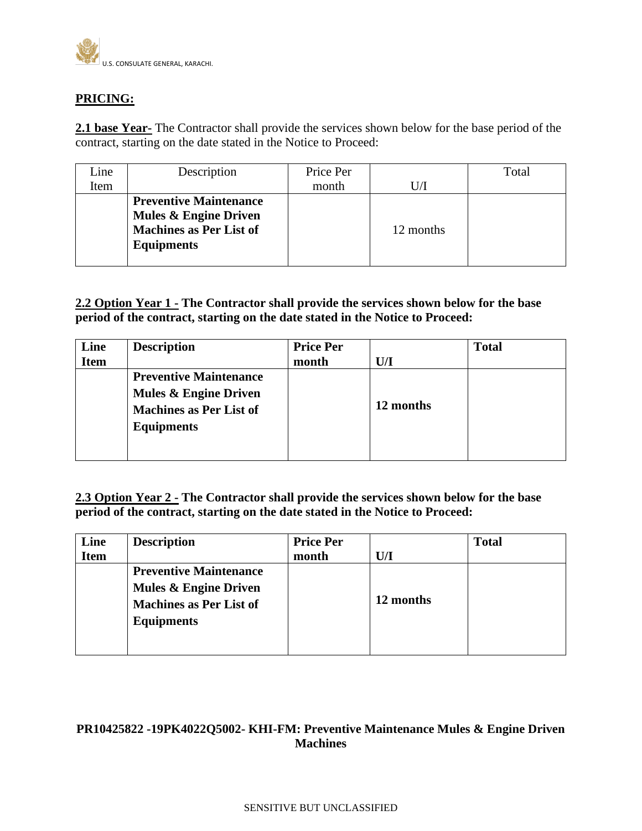

### **PRICING:**

**2.1 base Year-** The Contractor shall provide the services shown below for the base period of the contract, starting on the date stated in the Notice to Proceed:

| Line | Description                      | Price Per |           | Total |
|------|----------------------------------|-----------|-----------|-------|
| Item |                                  | month     |           |       |
|      | <b>Preventive Maintenance</b>    |           |           |       |
|      | <b>Mules &amp; Engine Driven</b> |           |           |       |
|      | <b>Machines as Per List of</b>   |           | 12 months |       |
|      | <b>Equipments</b>                |           |           |       |
|      |                                  |           |           |       |

**2.2 Option Year 1 - The Contractor shall provide the services shown below for the base period of the contract, starting on the date stated in the Notice to Proceed:**

| Line<br><b>Item</b> | <b>Description</b>                                                                                                       | <b>Price Per</b><br>month | U/I       | <b>Total</b> |
|---------------------|--------------------------------------------------------------------------------------------------------------------------|---------------------------|-----------|--------------|
|                     | <b>Preventive Maintenance</b><br><b>Mules &amp; Engine Driven</b><br><b>Machines as Per List of</b><br><b>Equipments</b> |                           | 12 months |              |

**2.3 Option Year 2 - The Contractor shall provide the services shown below for the base period of the contract, starting on the date stated in the Notice to Proceed:**

| Line        | <b>Description</b>               | <b>Price Per</b> |           | <b>Total</b> |
|-------------|----------------------------------|------------------|-----------|--------------|
| <b>Item</b> |                                  | month            | U/I       |              |
|             | <b>Preventive Maintenance</b>    |                  |           |              |
|             | <b>Mules &amp; Engine Driven</b> |                  |           |              |
|             | <b>Machines as Per List of</b>   |                  | 12 months |              |
|             | <b>Equipments</b>                |                  |           |              |
|             |                                  |                  |           |              |
|             |                                  |                  |           |              |

### **PR10425822 -19PK4022Q5002- KHI-FM: Preventive Maintenance Mules & Engine Driven Machines**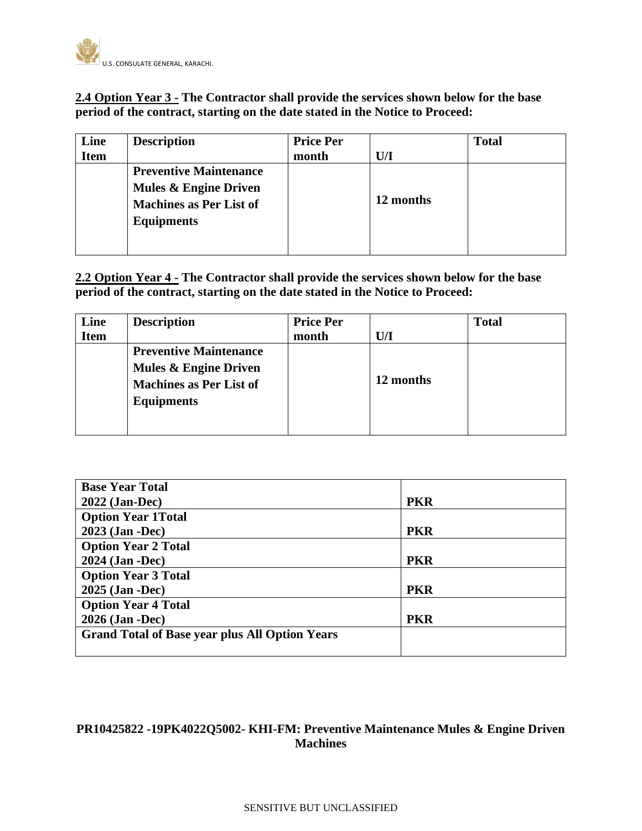

### **2.4 Option Year 3 - The Contractor shall provide the services shown below for the base period of the contract, starting on the date stated in the Notice to Proceed:**

| Line        | <b>Description</b>             | <b>Price Per</b> |           | <b>Total</b> |
|-------------|--------------------------------|------------------|-----------|--------------|
| <b>Item</b> |                                | month            | U/I       |              |
|             | <b>Preventive Maintenance</b>  |                  |           |              |
|             | Mules & Engine Driven          |                  |           |              |
|             | <b>Machines as Per List of</b> |                  | 12 months |              |
|             | <b>Equipments</b>              |                  |           |              |
|             |                                |                  |           |              |
|             |                                |                  |           |              |

**2.2 Option Year 4 - The Contractor shall provide the services shown below for the base period of the contract, starting on the date stated in the Notice to Proceed:**

| Line        | <b>Description</b>                                                                                            | <b>Price Per</b> |           | <b>Total</b> |
|-------------|---------------------------------------------------------------------------------------------------------------|------------------|-----------|--------------|
| <b>Item</b> |                                                                                                               | month            | U/I       |              |
|             | <b>Preventive Maintenance</b><br>Mules & Engine Driven<br><b>Machines as Per List of</b><br><b>Equipments</b> |                  | 12 months |              |

| <b>Base Year Total</b>                                |            |
|-------------------------------------------------------|------------|
| 2022 (Jan-Dec)                                        | <b>PKR</b> |
| <b>Option Year 1Total</b>                             |            |
| 2023 (Jan -Dec)                                       | <b>PKR</b> |
| <b>Option Year 2 Total</b>                            |            |
| 2024 (Jan -Dec)                                       | <b>PKR</b> |
| <b>Option Year 3 Total</b>                            |            |
| 2025 (Jan -Dec)                                       | <b>PKR</b> |
| <b>Option Year 4 Total</b>                            |            |
| 2026 (Jan -Dec)                                       | <b>PKR</b> |
| <b>Grand Total of Base year plus All Option Years</b> |            |
|                                                       |            |

## **PR10425822 -19PK4022Q5002- KHI-FM: Preventive Maintenance Mules & Engine Driven Machines**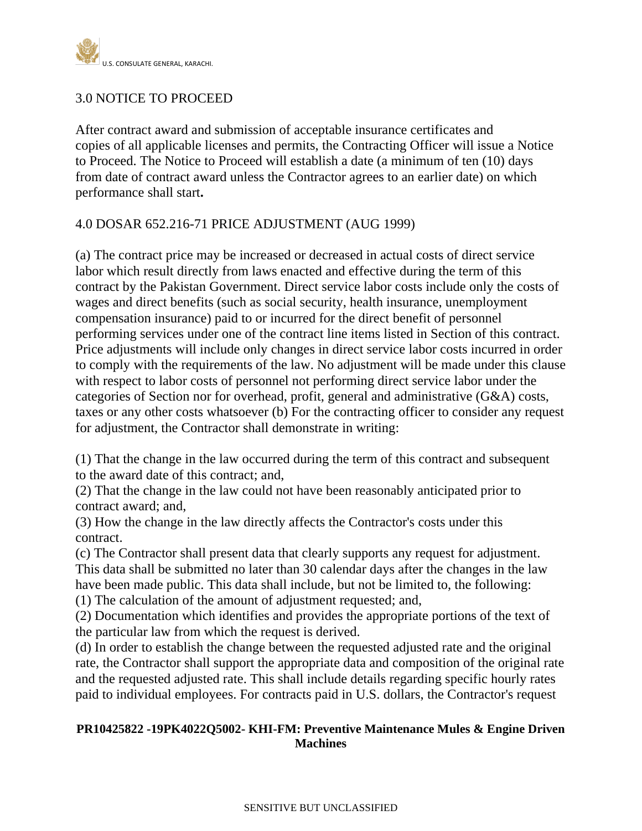

# 3.0 NOTICE TO PROCEED

After contract award and submission of acceptable insurance certificates and copies of all applicable licenses and permits, the Contracting Officer will issue a Notice to Proceed. The Notice to Proceed will establish a date (a minimum of ten (10) days from date of contract award unless the Contractor agrees to an earlier date) on which performance shall start**.**

### 4.0 DOSAR 652.216-71 PRICE ADJUSTMENT (AUG 1999)

(a) The contract price may be increased or decreased in actual costs of direct service labor which result directly from laws enacted and effective during the term of this contract by the Pakistan Government. Direct service labor costs include only the costs of wages and direct benefits (such as social security, health insurance, unemployment compensation insurance) paid to or incurred for the direct benefit of personnel performing services under one of the contract line items listed in Section of this contract. Price adjustments will include only changes in direct service labor costs incurred in order to comply with the requirements of the law. No adjustment will be made under this clause with respect to labor costs of personnel not performing direct service labor under the categories of Section nor for overhead, profit, general and administrative (G&A) costs, taxes or any other costs whatsoever (b) For the contracting officer to consider any request for adjustment, the Contractor shall demonstrate in writing:

(1) That the change in the law occurred during the term of this contract and subsequent to the award date of this contract; and,

(2) That the change in the law could not have been reasonably anticipated prior to contract award; and,

(3) How the change in the law directly affects the Contractor's costs under this contract.

(c) The Contractor shall present data that clearly supports any request for adjustment. This data shall be submitted no later than 30 calendar days after the changes in the law have been made public. This data shall include, but not be limited to, the following: (1) The calculation of the amount of adjustment requested; and,

(2) Documentation which identifies and provides the appropriate portions of the text of the particular law from which the request is derived.

(d) In order to establish the change between the requested adjusted rate and the original rate, the Contractor shall support the appropriate data and composition of the original rate and the requested adjusted rate. This shall include details regarding specific hourly rates paid to individual employees. For contracts paid in U.S. dollars, the Contractor's request

### **PR10425822 -19PK4022Q5002- KHI-FM: Preventive Maintenance Mules & Engine Driven Machines**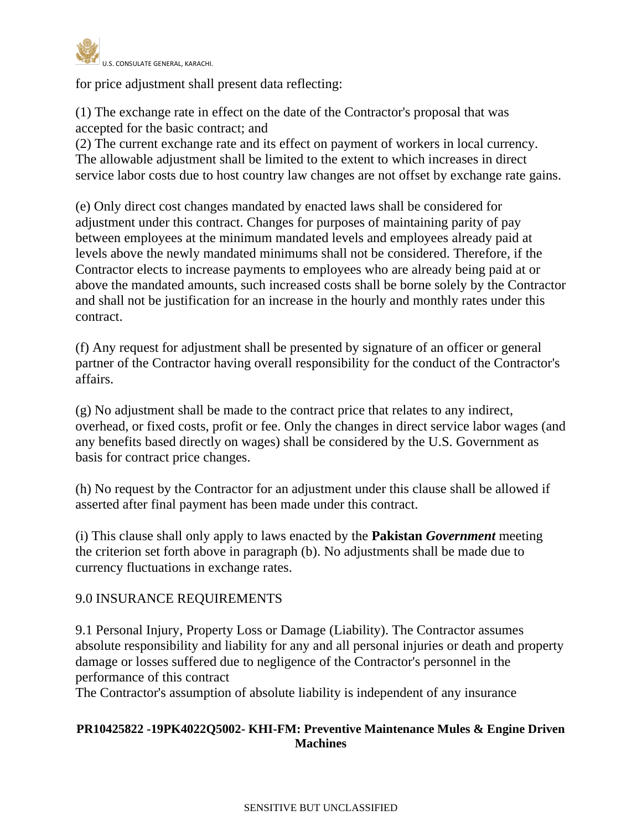

for price adjustment shall present data reflecting:

(1) The exchange rate in effect on the date of the Contractor's proposal that was accepted for the basic contract; and

(2) The current exchange rate and its effect on payment of workers in local currency. The allowable adjustment shall be limited to the extent to which increases in direct service labor costs due to host country law changes are not offset by exchange rate gains.

(e) Only direct cost changes mandated by enacted laws shall be considered for adjustment under this contract. Changes for purposes of maintaining parity of pay between employees at the minimum mandated levels and employees already paid at levels above the newly mandated minimums shall not be considered. Therefore, if the Contractor elects to increase payments to employees who are already being paid at or above the mandated amounts, such increased costs shall be borne solely by the Contractor and shall not be justification for an increase in the hourly and monthly rates under this contract.

(f) Any request for adjustment shall be presented by signature of an officer or general partner of the Contractor having overall responsibility for the conduct of the Contractor's affairs.

(g) No adjustment shall be made to the contract price that relates to any indirect, overhead, or fixed costs, profit or fee. Only the changes in direct service labor wages (and any benefits based directly on wages) shall be considered by the U.S. Government as basis for contract price changes.

(h) No request by the Contractor for an adjustment under this clause shall be allowed if asserted after final payment has been made under this contract.

(i) This clause shall only apply to laws enacted by the **Pakistan** *Government* meeting the criterion set forth above in paragraph (b). No adjustments shall be made due to currency fluctuations in exchange rates.

## 9.0 INSURANCE REQUIREMENTS

9.1 Personal Injury, Property Loss or Damage (Liability). The Contractor assumes absolute responsibility and liability for any and all personal injuries or death and property damage or losses suffered due to negligence of the Contractor's personnel in the performance of this contract

The Contractor's assumption of absolute liability is independent of any insurance

### **PR10425822 -19PK4022Q5002- KHI-FM: Preventive Maintenance Mules & Engine Driven Machines**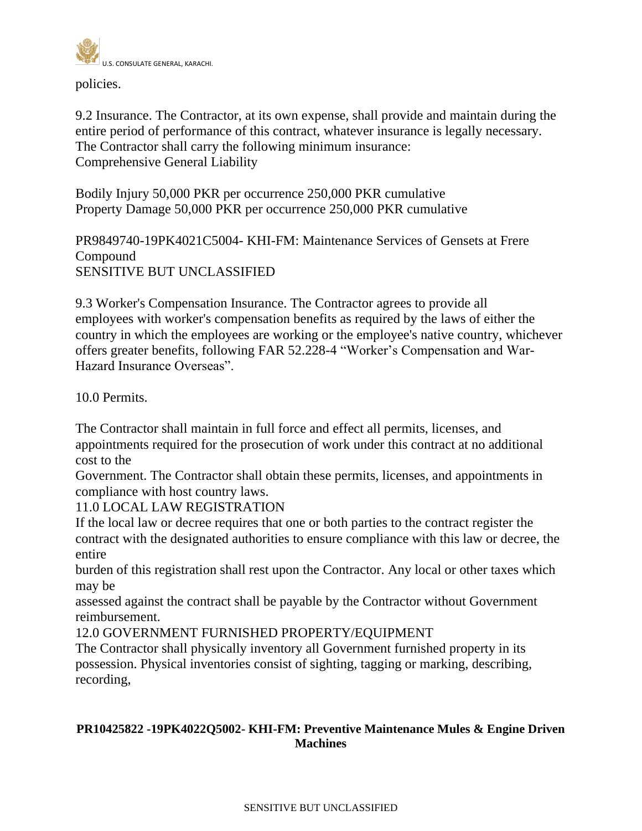

policies.

9.2 Insurance. The Contractor, at its own expense, shall provide and maintain during the entire period of performance of this contract, whatever insurance is legally necessary. The Contractor shall carry the following minimum insurance: Comprehensive General Liability

Bodily Injury 50,000 PKR per occurrence 250,000 PKR cumulative Property Damage 50,000 PKR per occurrence 250,000 PKR cumulative

PR9849740-19PK4021C5004- KHI-FM: Maintenance Services of Gensets at Frere Compound SENSITIVE BUT UNCLASSIFIED

9.3 Worker's Compensation Insurance. The Contractor agrees to provide all employees with worker's compensation benefits as required by the laws of either the country in which the employees are working or the employee's native country, whichever offers greater benefits, following FAR 52.228-4 "Worker's Compensation and War-Hazard Insurance Overseas".

10.0 Permits.

The Contractor shall maintain in full force and effect all permits, licenses, and appointments required for the prosecution of work under this contract at no additional cost to the

Government. The Contractor shall obtain these permits, licenses, and appointments in compliance with host country laws.

11.0 LOCAL LAW REGISTRATION

If the local law or decree requires that one or both parties to the contract register the contract with the designated authorities to ensure compliance with this law or decree, the entire

burden of this registration shall rest upon the Contractor. Any local or other taxes which may be

assessed against the contract shall be payable by the Contractor without Government reimbursement.

12.0 GOVERNMENT FURNISHED PROPERTY/EQUIPMENT

The Contractor shall physically inventory all Government furnished property in its possession. Physical inventories consist of sighting, tagging or marking, describing, recording,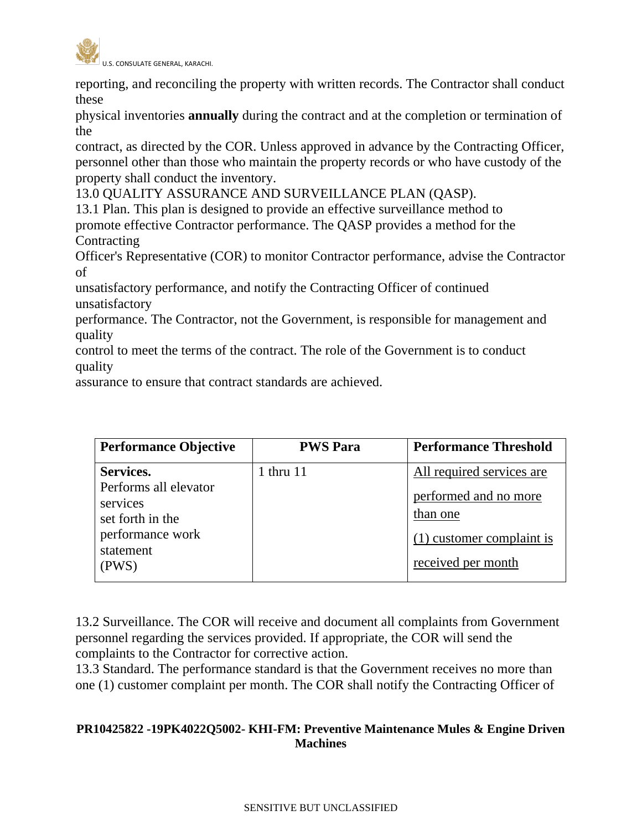

reporting, and reconciling the property with written records. The Contractor shall conduct these

physical inventories **annually** during the contract and at the completion or termination of the

contract, as directed by the COR. Unless approved in advance by the Contracting Officer, personnel other than those who maintain the property records or who have custody of the property shall conduct the inventory.

13.0 QUALITY ASSURANCE AND SURVEILLANCE PLAN (QASP).

13.1 Plan. This plan is designed to provide an effective surveillance method to promote effective Contractor performance. The QASP provides a method for the **Contracting** 

Officer's Representative (COR) to monitor Contractor performance, advise the Contractor of

unsatisfactory performance, and notify the Contracting Officer of continued unsatisfactory

performance. The Contractor, not the Government, is responsible for management and quality

control to meet the terms of the contract. The role of the Government is to conduct quality

assurance to ensure that contract standards are achieved.

| <b>Performance Objective</b>                                                                                 | <b>PWS Para</b> | <b>Performance Threshold</b>                                                                                        |
|--------------------------------------------------------------------------------------------------------------|-----------------|---------------------------------------------------------------------------------------------------------------------|
| Services.<br>Performs all elevator<br>services<br>set forth in the<br>performance work<br>statement<br>(PWS) | 1 thru $11$     | All required services are<br>performed and no more<br>than one<br>$(1)$ customer complaint is<br>received per month |

13.2 Surveillance. The COR will receive and document all complaints from Government personnel regarding the services provided. If appropriate, the COR will send the complaints to the Contractor for corrective action.

13.3 Standard. The performance standard is that the Government receives no more than one (1) customer complaint per month. The COR shall notify the Contracting Officer of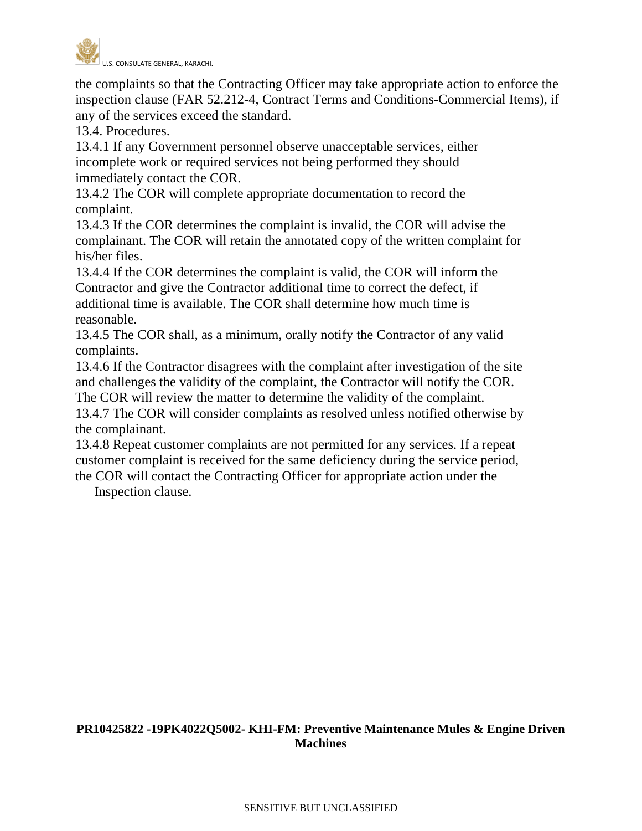

the complaints so that the Contracting Officer may take appropriate action to enforce the inspection clause (FAR 52.212-4, Contract Terms and Conditions-Commercial Items), if any of the services exceed the standard.

13.4. Procedures.

13.4.1 If any Government personnel observe unacceptable services, either incomplete work or required services not being performed they should immediately contact the COR.

13.4.2 The COR will complete appropriate documentation to record the complaint.

13.4.3 If the COR determines the complaint is invalid, the COR will advise the complainant. The COR will retain the annotated copy of the written complaint for his/her files.

13.4.4 If the COR determines the complaint is valid, the COR will inform the Contractor and give the Contractor additional time to correct the defect, if additional time is available. The COR shall determine how much time is reasonable.

13.4.5 The COR shall, as a minimum, orally notify the Contractor of any valid complaints.

13.4.6 If the Contractor disagrees with the complaint after investigation of the site and challenges the validity of the complaint, the Contractor will notify the COR.

The COR will review the matter to determine the validity of the complaint. 13.4.7 The COR will consider complaints as resolved unless notified otherwise by the complainant.

13.4.8 Repeat customer complaints are not permitted for any services. If a repeat customer complaint is received for the same deficiency during the service period,

the COR will contact the Contracting Officer for appropriate action under the Inspection clause.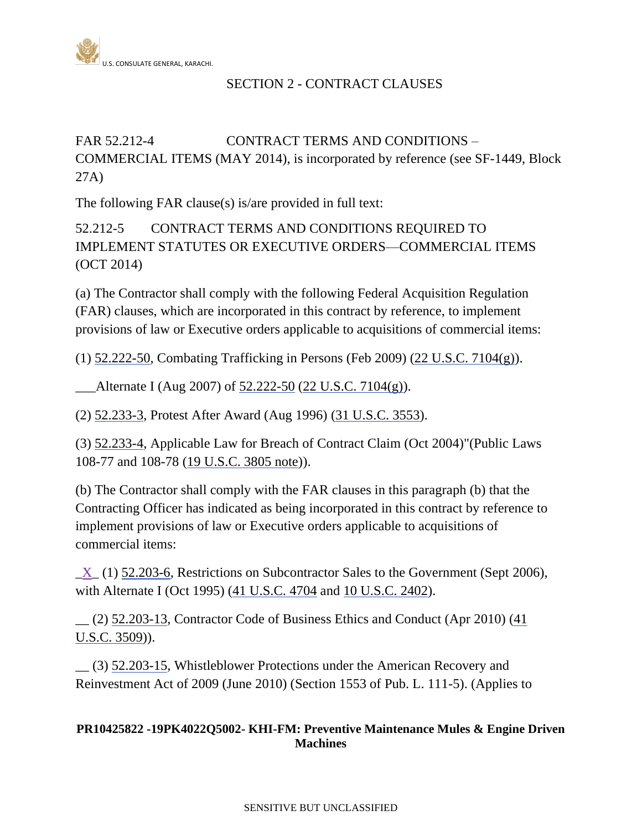

# SECTION 2 - CONTRACT CLAUSES

# FAR 52.212-4 CONTRACT TERMS AND CONDITIONS – COMMERCIAL ITEMS (MAY 2014), is incorporated by reference (see SF-1449, Block 27A)

The following FAR clause(s) is/are provided in full text:

52.212-5 CONTRACT TERMS AND CONDITIONS REQUIRED TO IMPLEMENT STATUTES OR EXECUTIVE ORDERS—COMMERCIAL ITEMS (OCT 2014)

(a) The Contractor shall comply with the following Federal Acquisition Regulation (FAR) clauses, which are incorporated in this contract by reference, to implement provisions of law or Executive orders applicable to acquisitions of commercial items:

(1) [52.222-50,](http://acquisition.gov/far/current/html/52_222.html#wp1151848) Combating Trafficking in Persons (Feb 2009) (22 [U.S.C. 7104\(g\)\)](http://uscode.house.gov/).

 $\Delta$ lternate I (Aug 2007) of [52.222-50](http://acquisition.gov/far/current/html/52_222.html#wp1151848) (22 [U.S.C. 7104\(g\)\)](http://uscode.house.gov/).

(2) [52.233-3,](http://acquisition.gov/far/current/html/52_233_240.html#wp1113329) Protest After Award (Aug 1996) (31 [U.S.C.](http://uscode.house.gov/uscode-cgi/fastweb.exe?getdoc+uscview+t29t32+1665+30++%2831%29%20%20AND%20%28%2831%29%20ADJ%20USC%29%3ACITE%20%20%20%20%20%20%20%20%20) 3553).

(3) [52.233-4,](http://acquisition.gov/far/current/html/52_233_240.html#wp1113344) Applicable Law for Breach of Contract Claim (Oct 2004)"(Public Laws 108-77 and 108-78 [\(19 U.S.C. 3805 note\)](http://uscode.house.gov/)).

(b) The Contractor shall comply with the FAR clauses in this paragraph (b) that the Contracting Officer has indicated as being incorporated in this contract by reference to implement provisions of law or Executive orders applicable to acquisitions of commercial items:

 $X(1)$  [52.203-6,](http://acquisition.gov/far/current/html/52_200_206.html#wp1137622) Restrictions on Subcontractor Sales to the Government (Sept 2006), with Alternate I (Oct 1995) (41 [U.S.C.](http://uscode.house.gov/) 4704 and 10 [U.S.C.](http://uscode.house.gov/) 2402).

 $(2)$  [52.203-13,](http://acquisition.gov/far/current/html/52_200_206.html#wp1141983) Contractor Code of Business Ethics and Conduct (Apr 2010) (41) [U.S.C. 3509\)](http://uscode.house.gov/)).

\_\_ (3) [52.203-15,](http://acquisition.gov/far/current/html/52_200_206.html#wp1144881) Whistleblower Protections under the American Recovery and Reinvestment Act of 2009 (June 2010) (Section 1553 of Pub. L. 111-5). (Applies to

## **PR10425822 -19PK4022Q5002- KHI-FM: Preventive Maintenance Mules & Engine Driven Machines**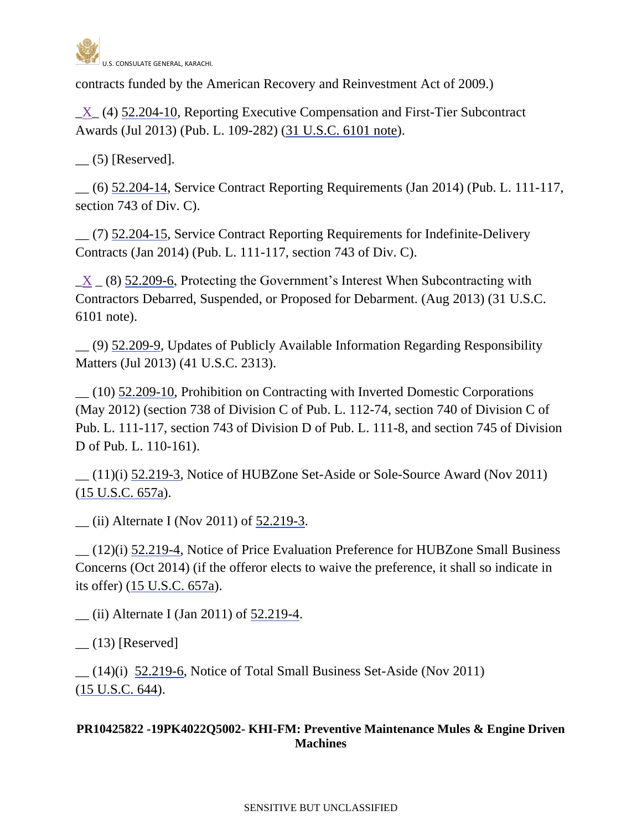

contracts funded by the American Recovery and Reinvestment Act of 2009.)

 $\underline{X}$  (4) [52.204-10,](http://acquisition.gov/far/current/html/52_200_206.html#wp1141649) Reporting Executive Compensation and First-Tier Subcontract Awards (Jul 2013) (Pub. L. 109-282) [\(31 U.S.C. 6101 note\)](http://uscode.house.gov/).

 $\qquad$  (5) [Reserved].

\_\_ (6) [52.204-14,](http://acquisition.gov/far/current/html/52_200_206.html#wp1151163) Service Contract Reporting Requirements (Jan 2014) (Pub. L. 111-117, section 743 of Div. C).

\_\_ (7) [52.204-15,](http://acquisition.gov/far/current/html/52_200_206.html#wp1151299) Service Contract Reporting Requirements for Indefinite-Delivery Contracts (Jan 2014) (Pub. L. 111-117, section 743 of Div. C).

 $X_ (8)$  [52.209-6,](http://acquisition.gov/far/current/html/52_207_211.html#wp1140926) Protecting the Government's Interest When Subcontracting with Contractors Debarred, Suspended, or Proposed for Debarment. (Aug 2013) (31 U.S.C. 6101 note).

\_\_ (9) [52.209-9,](http://acquisition.gov/far/current/html/52_207_211.html#wp1145644) Updates of Publicly Available Information Regarding Responsibility Matters (Jul 2013) (41 U.S.C. 2313).

\_\_ (10) [52.209-10,](http://acquisition.gov/far/current/html/52_207_211.html#wp1146366) Prohibition on Contracting with Inverted Domestic Corporations (May 2012) (section 738 of Division C of Pub. L. 112-74, section 740 of Division C of Pub. L. 111-117, section 743 of Division D of Pub. L. 111-8, and section 745 of Division D of Pub. L. 110-161).

 $(11)(i)$  [52.219-3,](http://acquisition.gov/far/current/html/52_217_221.html#wp1135955) Notice of HUBZone Set-Aside or Sole-Source Award (Nov 2011) (15 [U.S.C.](http://uscode.house.gov/uscode-cgi/fastweb.exe?getdoc+uscview+t13t16+492+90++%2815%29%20%20AND%20%28%2815%29%20ADJ%20USC%29%3ACITE%20%20%20%20%20%20%20%20%20) 657a).

 $\frac{1}{2}$  (ii) Alternate I (Nov 2011) of [52.219-3.](http://acquisition.gov/far/current/html/52_217_221.html#wp1135955)

\_\_ (12)(i) [52.219-4,](http://acquisition.gov/far/current/html/52_217_221.html#wp1135970) Notice of Price Evaluation Preference for HUBZone Small Business Concerns (Oct 2014) (if the offeror elects to waive the preference, it shall so indicate in its offer) (15 [U.S.C.](http://uscode.house.gov/uscode-cgi/fastweb.exe?getdoc+uscview+t13t16+492+90++%2815%29%20%20AND%20%28%2815%29%20ADJ%20USC%29%3ACITE%20%20%20%20%20%20%20%20%20) 657a).

\_\_ (ii) Alternate I (Jan 2011) of [52.219-4.](http://acquisition.gov/far/current/html/52_217_221.html#wp1135970)

 $(13)$  [Reserved]

 $(14)(i)$  [52.219-6,](http://acquisition.gov/far/current/html/52_217_221.html#wp1136004) Notice of Total Small Business Set-Aside (Nov 2011) (15 [U.S.C.](http://uscode.house.gov/uscode-cgi/fastweb.exe?getdoc+uscview+t13t16+492+90++%2815%29%20%20AND%20%28%2815%29%20ADJ%20USC%29%3ACITE%20%20%20%20%20%20%20%20%20) 644).

### **PR10425822 -19PK4022Q5002- KHI-FM: Preventive Maintenance Mules & Engine Driven Machines**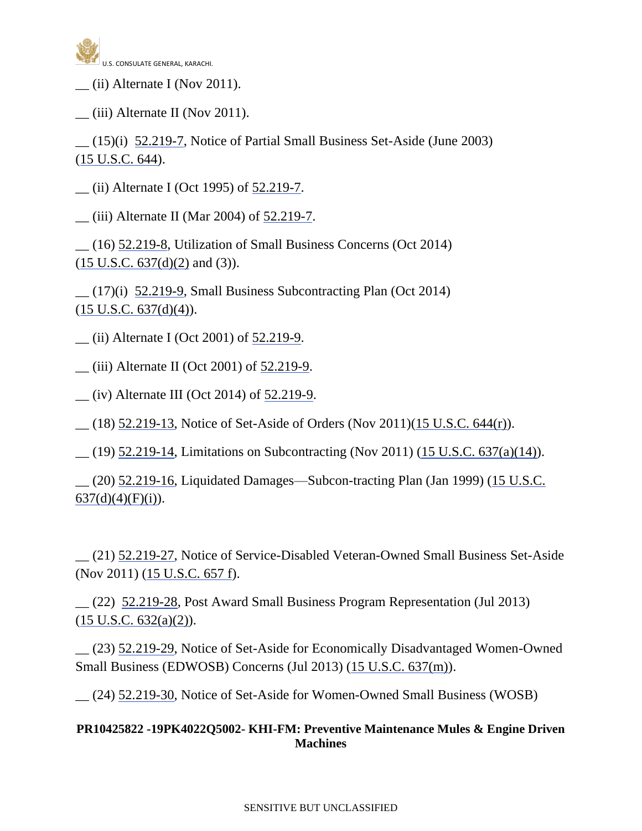

 $(i)$  Alternate I (Nov 2011).

 $\frac{1}{2}$  (iii) Alternate II (Nov 2011).

 $(15)(i)$  [52.219-7,](http://acquisition.gov/far/current/html/52_217_221.html#wp1136017) Notice of Partial Small Business Set-Aside (June 2003) (15 [U.S.C.](http://uscode.house.gov/uscode-cgi/fastweb.exe?getdoc+uscview+t13t16+492+90++%2815%29%20%20AND%20%28%2815%29%20ADJ%20USC%29%3ACITE%20%20%20%20%20%20%20%20%20) 644).

\_\_ (ii) Alternate I (Oct 1995) of [52.219-7.](http://acquisition.gov/far/current/html/52_217_221.html#wp1136017)

\_\_ (iii) Alternate II (Mar 2004) of [52.219-7.](http://acquisition.gov/far/current/html/52_217_221.html#wp1136017)

\_\_ (16) [52.219-8,](http://acquisition.gov/far/current/html/52_217_221.html#wp1136032) Utilization of Small Business Concerns (Oct 2014)  $(15 \text{ U.S.C. } 637\text{ (d)}(2) \text{ and } (3)).$ 

 $(17)(i)$  [52.219-9,](http://acquisition.gov/far/current/html/52_217_221.html#wp1136058) Small Business Subcontracting Plan (Oct 2014)  $(15 \text{ U.S.C. } 637\text{ (d)}\text{/(4)}).$ 

\_\_ (ii) Alternate I (Oct 2001) of [52.219-9.](http://acquisition.gov/far/current/html/52_217_221.html#wp1136058)

\_\_ (iii) Alternate II (Oct 2001) of [52.219-9.](http://acquisition.gov/far/current/html/52_217_221.html#wp1136058)

\_\_ (iv) Alternate III (Oct 2014) of [52.219-9.](http://acquisition.gov/far/current/html/52_217_221.html#wp1136058)

 $(18)$  [52.219-13,](http://acquisition.gov/far/current/html/52_217_221.html#wp1136174) Notice of Set-Aside of Orders (Nov 2011)[\(15 U.S.C. 644\(r\)\)](http://uscode.house.gov/).

\_\_ (19) [52.219-14,](http://acquisition.gov/far/current/html/52_217_221.html#wp1136175) Limitations on Subcontracting (Nov 2011) (15 U.S.C. [637\(a\)\(14\)\)](http://uscode.house.gov/uscode-cgi/fastweb.exe?getdoc+uscview+t13t16+492+90++%2815%29%20%20AND%20%28%2815%29%20ADJ%20USC%29%3ACITE%20%20%20%20%20%20%20%20%20).

\_\_ (20) [52.219-16,](http://acquisition.gov/far/current/html/52_217_221.html#wp1136186) Liquidated Damages—Subcon-tracting Plan (Jan 1999) (15 [U.S.C.](http://uscode.house.gov/uscode-cgi/fastweb.exe?getdoc+uscview+t13t16+492+90++%2815%29%20%20AND%20%28%2815%29%20ADJ%20USC%29%3ACITE%20%20%20%20%20%20%20%20%20)   $637(d)(4)(F)(i)$ ).

\_\_ (21) [52.219-27,](http://acquisition.gov/far/current/html/52_217_221.html#wp1136387) Notice of Service-Disabled Veteran-Owned Small Business Set-Aside (Nov 2011) (15 [U.S.C. 657 f\)](http://uscode.house.gov/uscode-cgi/fastweb.exe?getdoc+uscview+t13t16+492+90++%2815%29%20%20AND%20%28%2815%29%20ADJ%20USC%29%3ACITE%20%20%20%20%20%20%20%20%20).

\_\_ (22) [52.219-28,](http://acquisition.gov/far/current/html/52_217_221.html#wp1139913) Post Award Small Business Program Representation (Jul 2013)  $(15 \text{ U.S.C. } 632(a)(2))$ .

\_\_ (23) [52.219-29,](http://acquisition.gov/far/current/html/52_217_221.html#wp1144950) Notice of Set-Aside for Economically Disadvantaged Women-Owned Small Business (EDWOSB) Concerns (Jul 2013) [\(15 U.S.C. 637\(m\)\)](http://uscode.house.gov/).

\_\_ (24) [52.219-30,](http://acquisition.gov/far/current/html/52_217_221.html#wp1144420) Notice of Set-Aside for Women-Owned Small Business (WOSB)

**PR10425822 -19PK4022Q5002- KHI-FM: Preventive Maintenance Mules & Engine Driven Machines**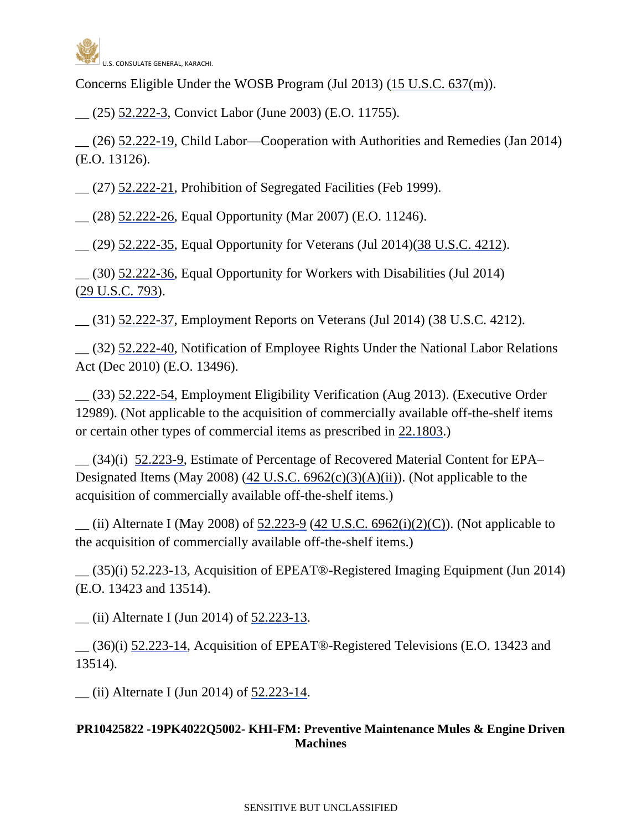

Concerns Eligible Under the WOSB Program (Jul 2013) [\(15 U.S.C. 637\(m\)\)](http://uscode.house.gov/).

\_\_ (25) [52.222-3,](http://acquisition.gov/far/current/html/52_222.html#wp1147479) Convict Labor (June 2003) (E.O. 11755).

\_\_ (26) [52.222-19,](http://acquisition.gov/far/current/html/52_222.html#wp1147630) Child Labor—Cooperation with Authorities and Remedies (Jan 2014) (E.O. 13126).

\_\_ (27) [52.222-21,](http://acquisition.gov/far/current/html/52_222.html#wp1147656) Prohibition of Segregated Facilities (Feb 1999).

\_\_ (28) [52.222-26,](http://acquisition.gov/far/current/html/52_222.html#wp1147711) Equal Opportunity (Mar 2007) (E.O. 11246).

\_\_ (29) [52.222-35,](http://acquisition.gov/far/current/html/52_222.html#wp1158632) Equal Opportunity for Veterans (Jul 2014)(38 [U.S.C.](http://uscode.house.gov/uscode-cgi/fastweb.exe?getdoc+uscview+t37t40+200+2++%2838%29%20%20AND%20%28%2838%29%20ADJ%20USC%29%3ACITE%20%20%20%20%20%20%20%20%20) 4212).

 $(30)$  [52.222-36,](http://acquisition.gov/far/current/html/52_222.html#wp1162802) Equal Opportunity for Workers with Disabilities (Jul 2014) (29 [U.S.C.](http://uscode.house.gov/uscode-cgi/fastweb.exe?getdoc+uscview+t29t32+2+78++%2829%29%20%20AND%20%28%2829%29%20ADJ%20USC%29%3ACITE%20%20%20%20%20%20%20%20%20) 793).

\_\_ (31) [52.222-37,](http://acquisition.gov/far/current/html/52_222.html#wp1148123) Employment Reports on Veterans (Jul 2014) (38 U.S.C. 4212).

\_\_ (32) [52.222-40,](http://acquisition.gov/far/current/html/52_222.html#wp1160019) Notification of Employee Rights Under the National Labor Relations Act (Dec 2010) (E.O. 13496).

\_\_ (33) [52.222-54,](http://acquisition.gov/far/current/html/52_222.html#wp1156645) Employment Eligibility Verification (Aug 2013). (Executive Order 12989). (Not applicable to the acquisition of commercially available off-the-shelf items or certain other types of commercial items as prescribed in [22.1803.](http://acquisition.gov/far/current/html/Subpart%2022_18.html#wp1089948))

\_\_ (34)(i) [52.223-9,](http://acquisition.gov/far/current/html/52_223_226.html#wp1168892) Estimate of Percentage of Recovered Material Content for EPA– Designated Items (May 2008) (42 U.S.C.  $6962(c)(3)(A)(ii)$ ). (Not applicable to the acquisition of commercially available off-the-shelf items.)

 $\mu$  (ii) Alternate I (May 2008) of [52.223-9](http://acquisition.gov/far/current/html/52_223_226.html#wp1168892) (42 U.S.C. [6962\(i\)\(2\)\(C\)\)](http://uscode.house.gov/uscode-cgi/fastweb.exe?getdoc+uscview+t41t42+250+1286++%2842%29%20%20AND%20%28%2842%29%20ADJ%20USC%29%3ACITE%20%20%20%20%20%20%20%20%20). (Not applicable to the acquisition of commercially available off-the-shelf items.)

\_\_ (35)(i) [52.223-13,](http://acquisition.gov/far/current/html/52_223_226.html#wp1168933) Acquisition of EPEAT®-Registered Imaging Equipment (Jun 2014) (E.O. 13423 and 13514).

\_\_ (ii) Alternate I (Jun 2014) of [52.223-13.](http://acquisition.gov/far/current/html/52_223_226.html#wp1168933)

\_\_ (36)(i) [52.223-14,](http://acquisition.gov/far/current/html/52_223_226.html#wp1194330) Acquisition of EPEAT®-Registered Televisions (E.O. 13423 and 13514).

\_\_ (ii) Alternate I (Jun 2014) of [52.223-14.](http://acquisition.gov/far/current/html/52_223_226.html#wp1194330)

## **PR10425822 -19PK4022Q5002- KHI-FM: Preventive Maintenance Mules & Engine Driven Machines**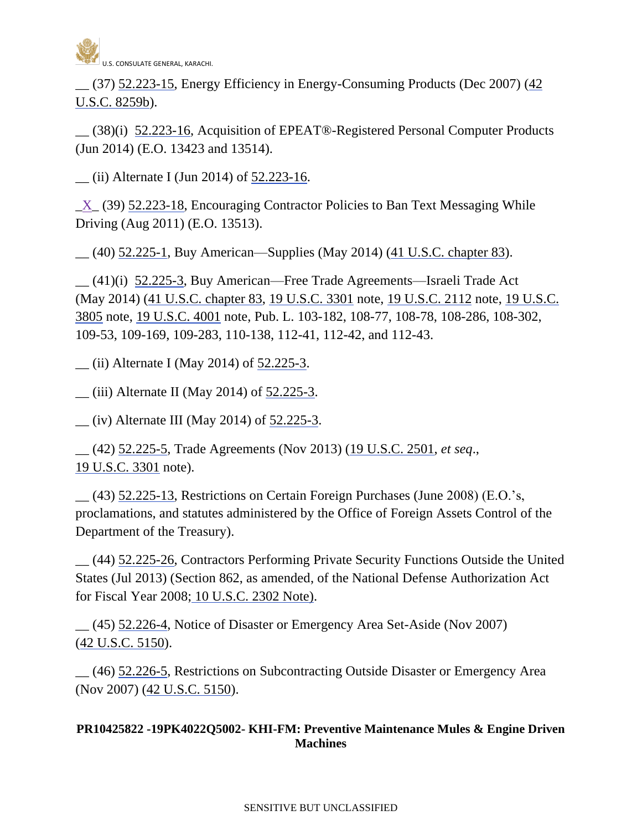

\_\_ (37) [52.223-15,](http://acquisition.gov/far/current/html/52_223_226.html#wp1194323) Energy Efficiency in Energy-Consuming Products (Dec 2007) [\(42](http://uscode.house.gov/)  [U.S.C. 8259b\)](http://uscode.house.gov/).

\_\_ (38)(i) [52.223-16,](http://acquisition.gov/far/current/html/52_223_226.html#wp1179078) Acquisition of EPEAT®-Registered Personal Computer Products (Jun 2014) (E.O. 13423 and 13514).

 $\frac{1}{2}$  (ii) Alternate I (Jun 2014) of  $\frac{52.223 - 16}{2}$ .

 $X_ (39)$  [52.223-18,](http://acquisition.gov/far/current/html/52_223_226.html#wp1188603) Encouraging Contractor Policies to Ban Text Messaging While Driving (Aug 2011) (E.O. 13513).

\_\_ (40) [52.225-1,](http://acquisition.gov/far/current/html/52_223_226.html#wp1192900) Buy American—Supplies (May 2014) (41 U.S.C. [chapter 83\)](http://uscode.house.gov/).

\_\_ (41)(i) [52.225-3,](http://acquisition.gov/far/current/html/52_223_226.html#wp1169038) Buy American—Free Trade Agreements—Israeli Trade Act (May 2014) [\(41 U.S.C. chapter 83,](http://uscode.house.gov/) 19 [U.S.C. 3301](http://uscode.house.gov/uscode-cgi/fastweb.exe?getdoc+uscview+t17t20+1727+50++%2819%29%20%20AND%20%28%2819%29%20ADJ%20USC%29%3ACITE%20%20%20%20%20%20%20%20%20) note, 19 [U.S.C. 2112](http://uscode.house.gov/uscode-cgi/fastweb.exe?getdoc+uscview+t17t20+1727+50++%2819%29%20%20AND%20%28%2819%29%20ADJ%20USC%29%3ACITE%20%20%20%20%20%20%20%20%20) note, [19 U.S.C.](http://uscode.house.gov/)  [3805](http://uscode.house.gov/) note, [19 U.S.C. 4001](http://uscode.house.gov/) note, Pub. L. 103-182, 108-77, 108-78, 108-286, 108-302, 109-53, 109-169, 109-283, 110-138, 112-41, 112-42, and 112-43.

\_\_ (ii) Alternate I (May 2014) of [52.225-3.](http://acquisition.gov/far/current/html/52_223_226.html#wp1169038)

 $\frac{1}{2}$  (iii) Alternate II (May 2014) of [52.225-3.](http://acquisition.gov/far/current/html/52_223_226.html#wp1169038)

 $\frac{1}{2}$  (iv) Alternate III (May 2014) of  $\frac{52.225-3}{2}$ .

\_\_ (42) [52.225-5,](http://acquisition.gov/far/current/html/52_223_226.html#wp1169151) Trade Agreements (Nov 2013) (19 [U.S.C.](http://uscode.house.gov/uscode-cgi/fastweb.exe?getdoc+uscview+t17t20+1727+50++%2819%29%20%20AND%20%28%2819%29%20ADJ%20USC%29%3ACITE%20%20%20%20%20%20%20%20%20) 2501, *et seq*., 19 [U.S.C.](http://uscode.house.gov/uscode-cgi/fastweb.exe?getdoc+uscview+t17t20+1727+50++%2819%29%20%20AND%20%28%2819%29%20ADJ%20USC%29%3ACITE%20%20%20%20%20%20%20%20%20) 3301 note).

\_\_ (43) [52.225-13,](http://acquisition.gov/far/current/html/52_223_226.html#wp1169608) Restrictions on Certain Foreign Purchases (June 2008) (E.O.'s, proclamations, and statutes administered by the Office of Foreign Assets Control of the Department of the Treasury).

\_\_ (44) [52.225-26,](http://acquisition.gov/far/current/html/52_223_226.html#wp1192524) Contractors Performing Private Security Functions Outside the United States (Jul 2013) (Section 862, as amended, of the National Defense Authorization Act for Fiscal Year 2008; [10 U.S.C. 2302 Note\).](http://uscode.house.gov/uscode-cgi/fastweb.exe?getdoc+uscview+t09t12+1445+65++%2810%20U.S.C.%202302%20Note%29%20%20%20%20%20%20%20%20%20%20)

\_\_ (45) [52.226-4,](http://acquisition.gov/far/current/html/52_223_226.html#wp1173773) Notice of Disaster or Emergency Area Set-Aside (Nov 2007) (42 [U.S.C. 5150\)](http://uscode.house.gov/uscode-cgi/fastweb.exe?getdoc+uscview+t41t42+250+1286++%2842%29%20%20AND%20%28%2842%29%20ADJ%20USC%29%3ACITE%20%20%20%20%20%20%20%20%20).

\_\_ (46) [52.226-5,](http://acquisition.gov/far/current/html/52_223_226.html#wp1173393) Restrictions on Subcontracting Outside Disaster or Emergency Area (Nov 2007) (42 [U.S.C. 5150\)](http://uscode.house.gov/uscode-cgi/fastweb.exe?getdoc+uscview+t41t42+250+1286++%2842%29%20%20AND%20%28%2842%29%20ADJ%20USC%29%3ACITE%20%20%20%20%20%20%20%20%20).

## **PR10425822 -19PK4022Q5002- KHI-FM: Preventive Maintenance Mules & Engine Driven Machines**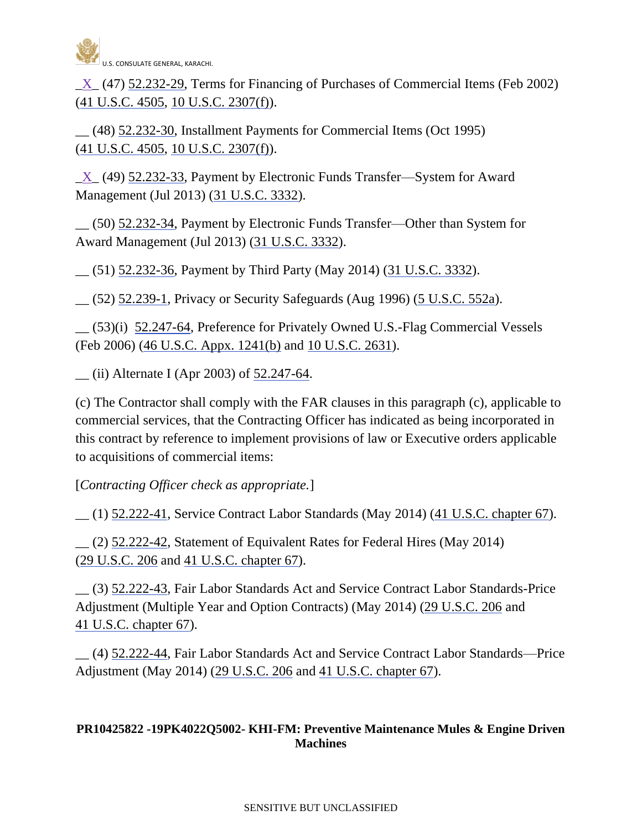

 $X(47)$  [52.232-29,](http://acquisition.gov/far/current/html/52_232.html#wp1153230) Terms for Financing of Purchases of Commercial Items (Feb 2002) (41 [U.S.C.](http://uscode.house.gov/) 4505, 10 U.S.C. [2307\(f\)\)](http://uscode.house.gov/).

\_\_ (48) [52.232-30,](http://acquisition.gov/far/current/html/52_232.html#wp1153252) Installment Payments for Commercial Items (Oct 1995) (41 [U.S.C.](http://uscode.house.gov/) 4505, 10 U.S.C. [2307\(f\)\)](http://uscode.house.gov/).

 $X_ (49)$  [52.232-33,](http://acquisition.gov/far/current/html/52_232.html#wp1153351) Payment by Electronic Funds Transfer—System for Award Management (Jul 2013) (31 [U.S.C.](http://uscode.house.gov/uscode-cgi/fastweb.exe?getdoc+uscview+t29t32+1665+30++%2831%29%20%20AND%20%28%2831%29%20ADJ%20USC%29%3ACITE%20%20%20%20%20%20%20%20%20) 3332).

\_\_ (50) [52.232-34,](http://acquisition.gov/far/current/html/52_232.html#wp1153375) Payment by Electronic Funds Transfer—Other than System for Award Management (Jul 2013) (31 [U.S.C.](http://uscode.house.gov/uscode-cgi/fastweb.exe?getdoc+uscview+t29t32+1665+30++%2831%29%20%20AND%20%28%2831%29%20ADJ%20USC%29%3ACITE%20%20%20%20%20%20%20%20%20) 3332).

\_\_ (51) [52.232-36,](http://acquisition.gov/far/current/html/52_232.html#wp1153445) Payment by Third Party (May 2014) (31 [U.S.C.](http://uscode.house.gov/) 3332).

\_\_ (52) [52.239-1,](http://acquisition.gov/far/current/html/52_233_240.html#wp1113650) Privacy or Security Safeguards (Aug 1996) (5 [U.S.C.](http://uscode.house.gov/uscode-cgi/fastweb.exe?getdoc+uscview+t05t08+2+3++%285%29%20%20AND) 552a).

\_\_ (53)(i) [52.247-64,](http://acquisition.gov/far/current/html/52_247.html#wp1156217) Preference for Privately Owned U.S.-Flag Commercial Vessels (Feb 2006) (46 U.S.C. Appx. [1241\(b\)](http://uscode.house.gov/uscode-cgi/fastweb.exe?getdoc+uscview+t45t48+351+1++%2846%29%20%20AND%20%28%2846%29%20ADJ%20USC%29%3ACITE%20%20%20%20%20%20%20%20%20) and 10 [U.S.C.](http://uscode.house.gov/uscode-cgi/fastweb.exe?getdoc+uscview+t09t12+37+408++%2810%29%20%252) 2631).

 $\frac{1}{2}$  (ii) Alternate I (Apr 2003) of [52.247-64.](http://acquisition.gov/far/current/html/52_247.html#wp1156217)

(c) The Contractor shall comply with the FAR clauses in this paragraph (c), applicable to commercial services, that the Contracting Officer has indicated as being incorporated in this contract by reference to implement provisions of law or Executive orders applicable to acquisitions of commercial items:

[*Contracting Officer check as appropriate.*]

\_\_ (1) [52.222-41,](http://acquisition.gov/far/current/html/52_222.html#wp1160021) Service Contract Labor Standards (May 2014) (41 U.S.C. [chapter 67\)](http://uscode.house.gov/).

\_\_ (2) [52.222-42,](http://acquisition.gov/far/current/html/52_222.html#wp1153423) Statement of Equivalent Rates for Federal Hires (May 2014) (29 [U.S.C.](http://uscode.house.gov/) 206 and 41 U.S.C. [chapter 67\)](http://uscode.house.gov/).

\_\_ (3) [52.222-43,](http://acquisition.gov/far/current/html/52_222.html#wp1148260) Fair Labor Standards Act and Service Contract Labor Standards-Price Adjustment (Multiple Year and Option Contracts) (May 2014) (29 [U.S.C.](http://uscode.house.gov/) 206 and 41 U.S.C. [chapter 67\)](http://uscode.house.gov/).

\_\_ (4) [52.222-44,](http://acquisition.gov/far/current/html/52_222.html#wp1148274) Fair Labor Standards Act and Service Contract Labor Standards—Price Adjustment (May 2014) (29 [U.S.C.](http://uscode.house.gov/) 206 and 41 U.S.C. [chapter 67\)](http://uscode.house.gov/).

## **PR10425822 -19PK4022Q5002- KHI-FM: Preventive Maintenance Mules & Engine Driven Machines**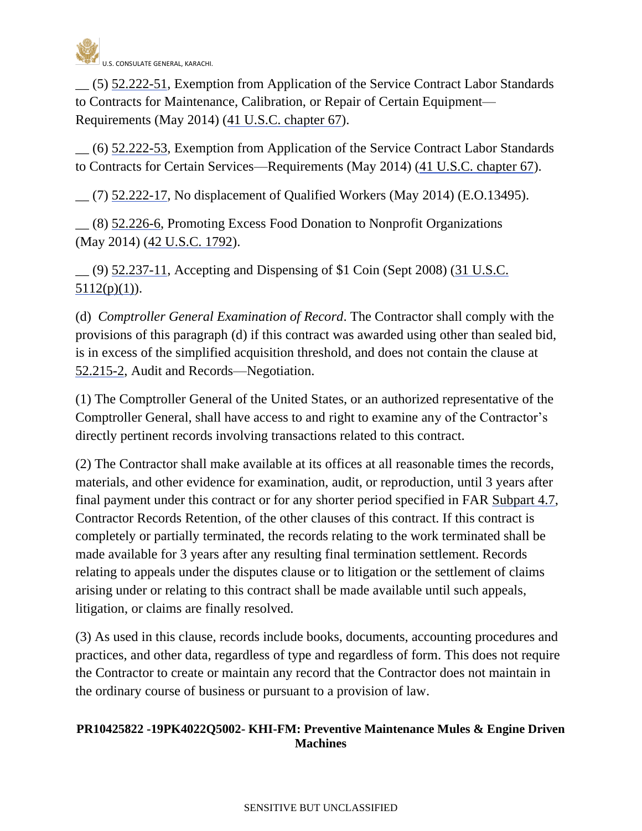

\_\_ (5) [52.222-51,](http://acquisition.gov/far/current/html/52_222.html#wp1155380) Exemption from Application of the Service Contract Labor Standards to Contracts for Maintenance, Calibration, or Repair of Certain Equipment— Requirements (May 2014) (41 U.S.C. [chapter 67\)](http://uscode.house.gov/).

\_\_ (6) [52.222-53,](http://acquisition.gov/far/current/html/52_222.html#wp1162590) Exemption from Application of the Service Contract Labor Standards to Contracts for Certain Services—Requirements (May 2014) (41 U.S.C. [chapter 67\)](http://uscode.house.gov/).

\_\_ (7) [52.222-17,](http://acquisition.gov/far/current/html/52_222.html#wp1147587) No displacement of Qualified Workers (May 2014) (E.O.13495).

\_\_ (8) [52.226-6,](http://acquisition.gov/far/current/html/52_223_226.html#wp1183820) Promoting Excess Food Donation to Nonprofit Organizations (May 2014) [\(42 U.S.C. 1792\)](http://uscode.house.gov/).

\_\_ (9) [52.237-11,](http://acquisition.gov/far/current/html/52_233_240.html#wp1120023) Accepting and Dispensing of \$1 Coin (Sept 2008) (31 [U.S.C.](http://uscode.house.gov/uscode-cgi/fastweb.exe?getdoc+uscview+t29t32+1665+30++%2831%29%20%20AND%20%28%2831%29%20ADJ%20USC%29%3ACITE%20%20%20%20%20%20%20%20%20)   $5112(p)(1)$ ).

(d) *Comptroller General Examination of Record*. The Contractor shall comply with the provisions of this paragraph (d) if this contract was awarded using other than sealed bid, is in excess of the simplified acquisition threshold, and does not contain the clause at [52.215-2,](http://acquisition.gov/far/current/html/52_215.html#wp1144470) Audit and Records—Negotiation.

(1) The Comptroller General of the United States, or an authorized representative of the Comptroller General, shall have access to and right to examine any of the Contractor's directly pertinent records involving transactions related to this contract.

(2) The Contractor shall make available at its offices at all reasonable times the records, materials, and other evidence for examination, audit, or reproduction, until 3 years after final payment under this contract or for any shorter period specified in FAR [Subpart](http://acquisition.gov/far/current/html/Subpart%204_7.html#wp1082800) 4.7, Contractor Records Retention, of the other clauses of this contract. If this contract is completely or partially terminated, the records relating to the work terminated shall be made available for 3 years after any resulting final termination settlement. Records relating to appeals under the disputes clause or to litigation or the settlement of claims arising under or relating to this contract shall be made available until such appeals, litigation, or claims are finally resolved.

(3) As used in this clause, records include books, documents, accounting procedures and practices, and other data, regardless of type and regardless of form. This does not require the Contractor to create or maintain any record that the Contractor does not maintain in the ordinary course of business or pursuant to a provision of law.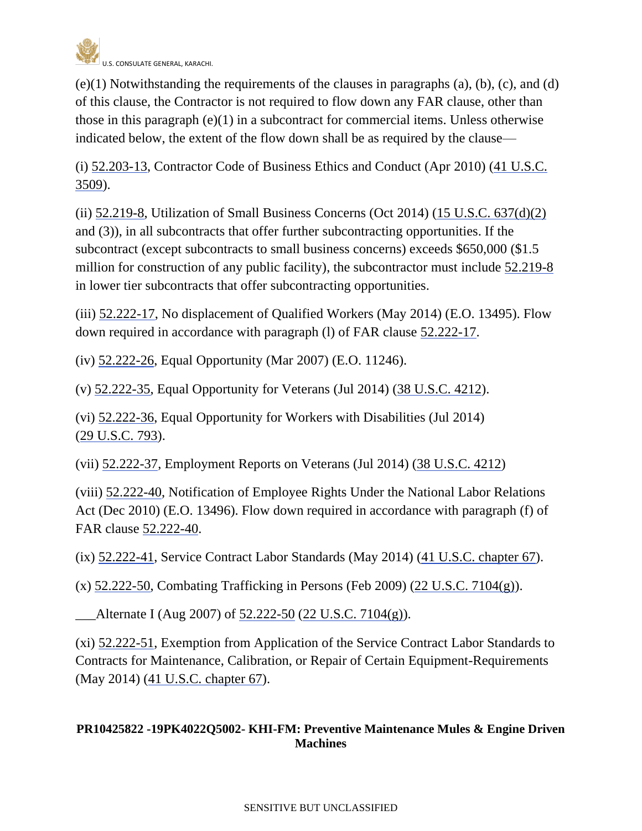

 $(e)(1)$  Notwithstanding the requirements of the clauses in paragraphs  $(a)$ ,  $(b)$ ,  $(c)$ , and  $(d)$ of this clause, the Contractor is not required to flow down any FAR clause, other than those in this paragraph  $(e)(1)$  in a subcontract for commercial items. Unless otherwise indicated below, the extent of the flow down shall be as required by the clause—

(i) [52.203-13,](http://acquisition.gov/far/current/html/52_200_206.html#wp1141983) Contractor Code of Business Ethics and Conduct (Apr 2010) [\(41 U.S.C.](http://uscode.house.gov/)  [3509\)](http://uscode.house.gov/).

(ii) [52.219-8,](http://acquisition.gov/far/current/html/52_217_221.html#wp1136032) Utilization of Small Business Concerns (Oct 2014)  $(15 \text{ U.S.C. } 637\text{ (d)}(2))$ and (3)), in all subcontracts that offer further subcontracting opportunities. If the subcontract (except subcontracts to small business concerns) exceeds \$650,000 (\$1.5 million for construction of any public facility), the subcontractor must include [52.219-8](http://acquisition.gov/far/current/html/52_217_221.html#wp1136032) in lower tier subcontracts that offer subcontracting opportunities.

(iii) [52.222-17,](http://acquisition.gov/far/current/html/52_222.html#wp1147587) No displacement of Qualified Workers (May 2014) (E.O. 13495). Flow down required in accordance with paragraph (l) of FAR clause [52.222-17.](http://acquisition.gov/far/current/html/52_222.html#wp1147587)

(iv) [52.222-26,](http://acquisition.gov/far/current/html/52_222.html#wp1147711) Equal Opportunity (Mar 2007) (E.O. 11246).

(v) [52.222-35,](http://acquisition.gov/far/current/html/52_222.html#wp1158632) Equal Opportunity for Veterans (Jul 2014) (38 [U.S.C.](http://uscode.house.gov/uscode-cgi/fastweb.exe?getdoc+uscview+t37t40+200+2++%2838%29%20%20AND%20%28%2838%29%20ADJ%20USC%29%3ACITE%20%20%20%20%20%20%20%20%20) 4212).

(vi) [52.222-36,](http://acquisition.gov/far/current/html/52_222.html#wp1162802) Equal Opportunity for Workers with Disabilities (Jul 2014) (29 [U.S.C.](http://uscode.house.gov/uscode-cgi/fastweb.exe?getdoc+uscview+t29t32+2+78++%2829%29%20%20AND%20%28%2829%29%20ADJ%20USC%29%3ACITE%20%20%20%20%20%20%20%20%20) 793).

(vii) [52.222-37,](http://acquisition.gov/far/current/html/52_222.html#wp1148123) Employment Reports on Veterans (Jul 2014) (38 [U.S.C.](http://uscode.house.gov/uscode-cgi/fastweb.exe?getdoc+uscview+t29t32+2+78++%2829%29%20%20AND%20%28%2829%29%20ADJ%20USC%29%3ACITE%20%20%20%20%20%20%20%20%20) 4212)

(viii) [52.222-40,](http://acquisition.gov/far/current/html/52_222.html#wp1160019) Notification of Employee Rights Under the National Labor Relations Act (Dec 2010) (E.O. 13496). Flow down required in accordance with paragraph (f) of FAR clause [52.222-40.](http://acquisition.gov/far/current/html/52_222.html#wp1160019)

(ix) [52.222-41,](http://acquisition.gov/far/current/html/52_222.html#wp1160021) Service Contract Labor Standards (May 2014) (41 U.S.C. [chapter 67\)](http://uscode.house.gov/).

(x) [52.222-50,](http://acquisition.gov/far/current/html/52_222.html#wp1151848) Combating Trafficking in Persons (Feb 2009) (22 [U.S.C. 7104\(g\)\)](http://uscode.house.gov/uscode-cgi/fastweb.exe?getdoc+uscview+t21t25+618+103++%2822%29%20%20AND%20%28%2822%29%20ADJ%20USC%29%3ACITE%20%20%20%20%20%20%20%20%20).

Alternate I (Aug 2007) of [52.222-50](http://acquisition.gov/far/current/html/52_222.html#wp1151848) (22 [U.S.C. 7104\(g\)\)](http://uscode.house.gov/uscode-cgi/fastweb.exe?getdoc+uscview+t21t25+618+103++%2822%29%20%20AND%20%28%2822%29%20ADJ%20USC%29%3ACITE%20%20%20%20%20%20%20%20%20).

(xi) [52.222-51,](http://acquisition.gov/far/current/html/52_222.html#wp1155380) Exemption from Application of the Service Contract Labor Standards to Contracts for Maintenance, Calibration, or Repair of Certain Equipment-Requirements (May 2014) (41 U.S.C. [chapter 67\)](http://uscode.house.gov/).

# **PR10425822 -19PK4022Q5002- KHI-FM: Preventive Maintenance Mules & Engine Driven Machines**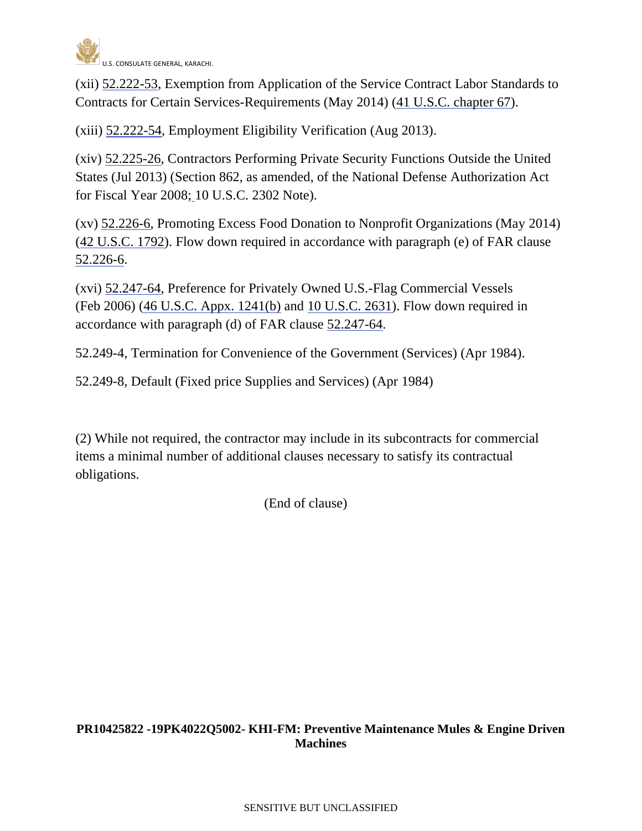

(xii) [52.222-53,](http://acquisition.gov/far/current/html/52_222.html#wp1162590) Exemption from Application of the Service Contract Labor Standards to Contracts for Certain Services-Requirements (May 2014) (41 U.S.C. [chapter 67\)](http://uscode.house.gov/).

(xiii) [52.222-54,](http://acquisition.gov/far/current/html/52_222.html#wp1156645) Employment Eligibility Verification (Aug 2013).

(xiv) [52.225-26,](http://acquisition.gov/far/current/html/52_223_226.html#wp1192524) Contractors Performing Private Security Functions Outside the United States (Jul 2013) (Section 862, as amended, of the National Defense Authorization Act for Fiscal Year 2008; [1](http://uscode.house.gov/uscode-cgi/fastweb.exe?getdoc+uscview+t09t12+1445+65++%2810%20U.S.C.%202302%20Note%29%20%20%20%20%20%20%20%20%20%20)0 U.S.C. 2302 Note).

(xv) [52.226-6,](http://acquisition.gov/far/current/html/52_223_226.html#wp1183820) Promoting Excess Food Donation to Nonprofit Organizations (May 2014) [\(42 U.S.C. 1792\)](http://uscode.house.gov/). Flow down required in accordance with paragraph (e) of FAR clause [52.226-6.](http://acquisition.gov/far/current/html/52_223_226.html#wp1183820)

(xvi) [52.247-64,](http://acquisition.gov/far/current/html/52_247.html#wp1156217) Preference for Privately Owned U.S.-Flag Commercial Vessels (Feb 2006) (46 [U.S.C. Appx.](http://uscode.house.gov/uscode-cgi/fastweb.exe?getdoc+uscview+t45t48+351+1++%2846%29%20%20AND%20%28%2846%29%20ADJ%20USC%29%3ACITE%20%20%20%20%20%20%20%20%20) 1241(b) and 10 [U.S.C.](http://uscode.house.gov/uscode-cgi/fastweb.exe?getdoc+uscview+t09t12+37+408++%2810%29%20%252) 2631). Flow down required in accordance with paragraph (d) of FAR clause [52.247-64.](http://acquisition.gov/far/current/html/52_247.html#wp1156217)

52.249-4, Termination for Convenience of the Government (Services) (Apr 1984).

52.249-8, Default (Fixed price Supplies and Services) (Apr 1984)

(2) While not required, the contractor may include in its subcontracts for commercial items a minimal number of additional clauses necessary to satisfy its contractual obligations.

(End of clause)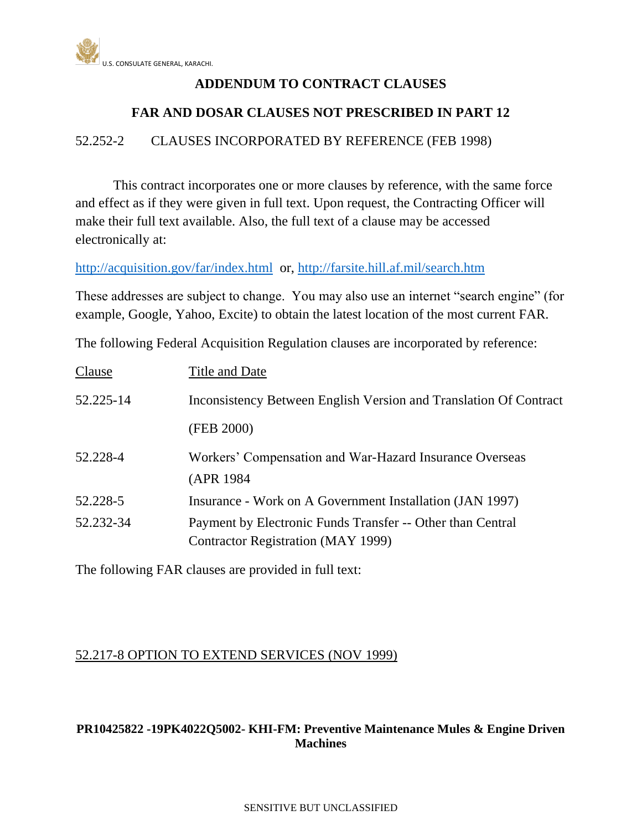

# **ADDENDUM TO CONTRACT CLAUSES**

# **FAR AND DOSAR CLAUSES NOT PRESCRIBED IN PART 12**

52.252-2 CLAUSES INCORPORATED BY REFERENCE (FEB 1998)

This contract incorporates one or more clauses by reference, with the same force and effect as if they were given in full text. Upon request, the Contracting Officer will make their full text available. Also, the full text of a clause may be accessed electronically at:

<http://acquisition.gov/far/index.html>or,<http://farsite.hill.af.mil/search.htm>

These addresses are subject to change. You may also use an internet "search engine" (for example, Google, Yahoo, Excite) to obtain the latest location of the most current FAR.

The following Federal Acquisition Regulation clauses are incorporated by reference:

| Clause    | Title and Date                                                                                          |
|-----------|---------------------------------------------------------------------------------------------------------|
| 52.225-14 | Inconsistency Between English Version and Translation Of Contract                                       |
|           | (FEB 2000)                                                                                              |
| 52.228-4  | Workers' Compensation and War-Hazard Insurance Overseas<br>(APR 1984)                                   |
| 52.228-5  | Insurance - Work on A Government Installation (JAN 1997)                                                |
| 52.232-34 | Payment by Electronic Funds Transfer -- Other than Central<br><b>Contractor Registration (MAY 1999)</b> |

The following FAR clauses are provided in full text:

# 52.217-8 OPTION TO EXTEND SERVICES (NOV 1999)

## **PR10425822 -19PK4022Q5002- KHI-FM: Preventive Maintenance Mules & Engine Driven Machines**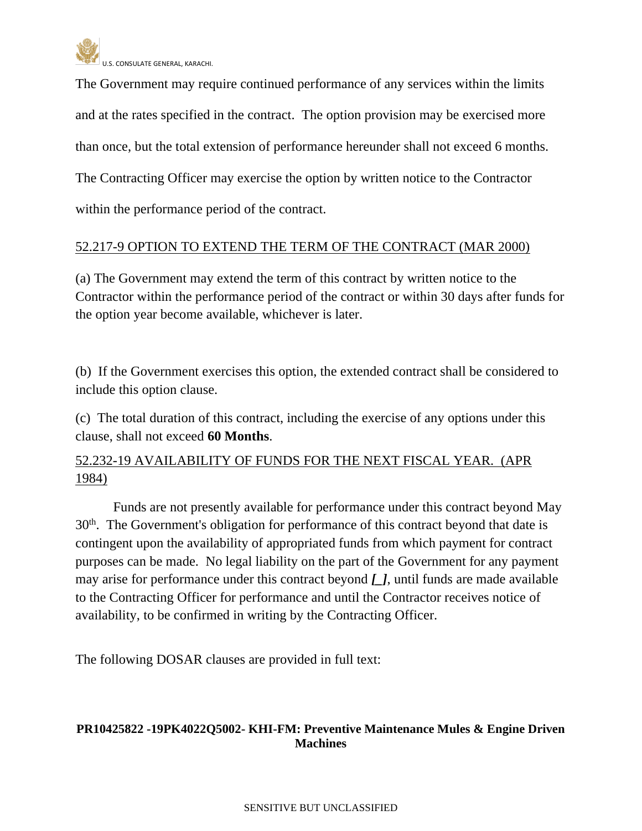

The Government may require continued performance of any services within the limits and at the rates specified in the contract. The option provision may be exercised more than once, but the total extension of performance hereunder shall not exceed 6 months. The Contracting Officer may exercise the option by written notice to the Contractor within the performance period of the contract.

## 52.217-9 OPTION TO EXTEND THE TERM OF THE CONTRACT (MAR 2000)

(a) The Government may extend the term of this contract by written notice to the Contractor within the performance period of the contract or within 30 days after funds for the option year become available, whichever is later.

(b) If the Government exercises this option, the extended contract shall be considered to include this option clause.

(c) The total duration of this contract, including the exercise of any options under this clause, shall not exceed **60 Months**.

52.232-19 AVAILABILITY OF FUNDS FOR THE NEXT FISCAL YEAR. (APR 1984)

Funds are not presently available for performance under this contract beyond May 30<sup>th</sup>. The Government's obligation for performance of this contract beyond that date is contingent upon the availability of appropriated funds from which payment for contract purposes can be made. No legal liability on the part of the Government for any payment may arise for performance under this contract beyond *[\_]*, until funds are made available to the Contracting Officer for performance and until the Contractor receives notice of availability, to be confirmed in writing by the Contracting Officer.

The following DOSAR clauses are provided in full text:

## **PR10425822 -19PK4022Q5002- KHI-FM: Preventive Maintenance Mules & Engine Driven Machines**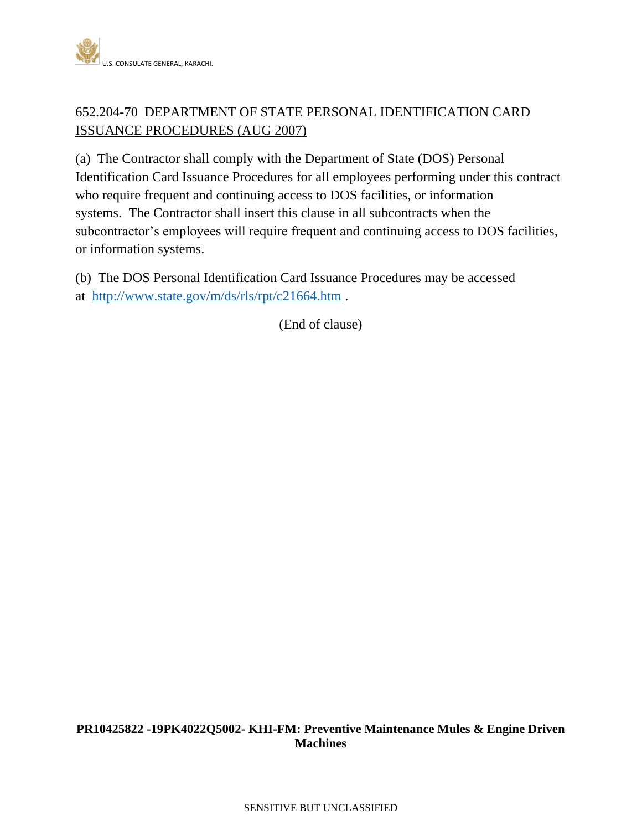

# 652.204-70 DEPARTMENT OF STATE PERSONAL IDENTIFICATION CARD ISSUANCE PROCEDURES (AUG 2007)

(a) The Contractor shall comply with the Department of State (DOS) Personal Identification Card Issuance Procedures for all employees performing under this contract who require frequent and continuing access to DOS facilities, or information systems. The Contractor shall insert this clause in all subcontracts when the subcontractor's employees will require frequent and continuing access to DOS facilities, or information systems.

(b) The DOS Personal Identification Card Issuance Procedures may be accessed at <http://www.state.gov/m/ds/rls/rpt/c21664.htm> .

(End of clause)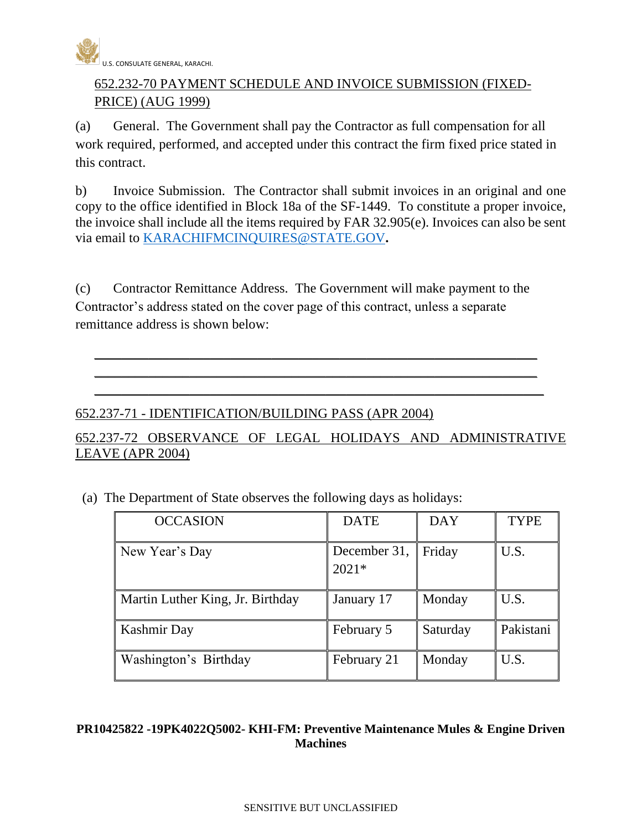

# 652.232-70 PAYMENT SCHEDULE AND INVOICE SUBMISSION (FIXED-PRICE) (AUG 1999)

(a) General. The Government shall pay the Contractor as full compensation for all work required, performed, and accepted under this contract the firm fixed price stated in this contract.

b) Invoice Submission. The Contractor shall submit invoices in an original and one copy to the office identified in Block 18a of the SF-1449. To constitute a proper invoice, the invoice shall include all the items required by FAR 32.905(e). Invoices can also be sent via email to [KARACHIFMCINQUIRES@STATE.GOV](mailto:KARACHIFMCINQUIRES@STATE.GOV)**.**

(c) Contractor Remittance Address. The Government will make payment to the Contractor's address stated on the cover page of this contract, unless a separate remittance address is shown below:

\_\_\_\_\_\_\_\_\_\_\_\_\_\_\_\_\_\_\_\_\_\_\_\_\_\_\_\_\_\_\_\_\_\_\_\_\_\_\_\_\_\_\_\_\_\_\_\_\_\_\_\_\_\_\_\_\_\_\_\_\_\_\_\_\_ \_\_\_\_\_\_\_\_\_\_\_\_\_\_\_\_\_\_\_\_\_\_\_\_\_\_\_\_\_\_\_\_\_\_\_\_\_\_\_\_\_\_\_\_\_\_\_\_\_\_\_\_\_\_\_\_\_\_\_\_\_\_\_\_\_ \_\_\_\_\_\_\_\_\_\_\_\_\_\_\_\_\_\_\_\_\_\_\_\_\_\_\_\_\_\_\_\_\_\_\_\_\_\_\_\_\_\_\_\_\_\_\_\_\_\_\_\_\_\_\_\_\_\_\_\_\_\_\_\_\_\_

## 652.237-71 - IDENTIFICATION/BUILDING PASS (APR 2004)

# 652.237-72 OBSERVANCE OF LEGAL HOLIDAYS AND ADMINISTRATIVE LEAVE (APR 2004)

| (a) The Department of State observes the following days as holidays: |  |  |
|----------------------------------------------------------------------|--|--|
|                                                                      |  |  |

| <b>OCCASION</b>                  | <b>DATE</b>             | <b>DAY</b> | <b>TYPE</b> |
|----------------------------------|-------------------------|------------|-------------|
| New Year's Day                   | December 31,<br>$2021*$ | Friday     | U.S.        |
| Martin Luther King, Jr. Birthday | January 17              | Monday     | U.S.        |
| Kashmir Day                      | February 5              | Saturday   | Pakistani   |
| Washington's Birthday            | February 21             | Monday     | U.S.        |

## **PR10425822 -19PK4022Q5002- KHI-FM: Preventive Maintenance Mules & Engine Driven Machines**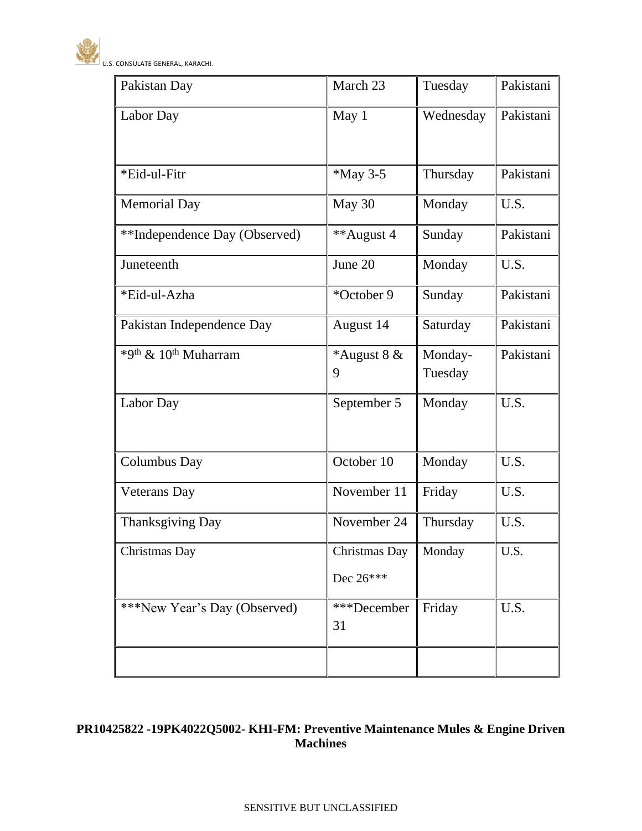

| Pakistan Day                                 | March 23                   | Tuesday            | Pakistani |
|----------------------------------------------|----------------------------|--------------------|-----------|
| Labor Day                                    | May 1                      | Wednesday          | Pakistani |
| *Eid-ul-Fitr                                 | *May 3-5                   | Thursday           | Pakistani |
| <b>Memorial Day</b>                          | May 30                     | Monday             | U.S.      |
| **Independence Day (Observed)                | **August 4                 | Sunday             | Pakistani |
| Juneteenth                                   | June 20                    | Monday             | U.S.      |
| *Eid-ul-Azha                                 | *October 9                 | Sunday             | Pakistani |
| Pakistan Independence Day                    | August 14                  | Saturday           | Pakistani |
| *9 <sup>th</sup> & 10 <sup>th</sup> Muharram | *August $8 &$<br>9         | Monday-<br>Tuesday | Pakistani |
| Labor Day                                    | September 5                | Monday             | U.S.      |
| <b>Columbus Day</b>                          | October 10                 | Monday             | U.S.      |
| <b>Veterans</b> Day                          | November 11                | Friday             | U.S.      |
| Thanksgiving Day                             | November 24                | Thursday           | U.S.      |
| Christmas Day                                | Christmas Day<br>Dec 26*** | Monday             | U.S.      |
| ***New Year's Day (Observed)                 | ***December<br>31          | Friday             | U.S.      |
|                                              |                            |                    |           |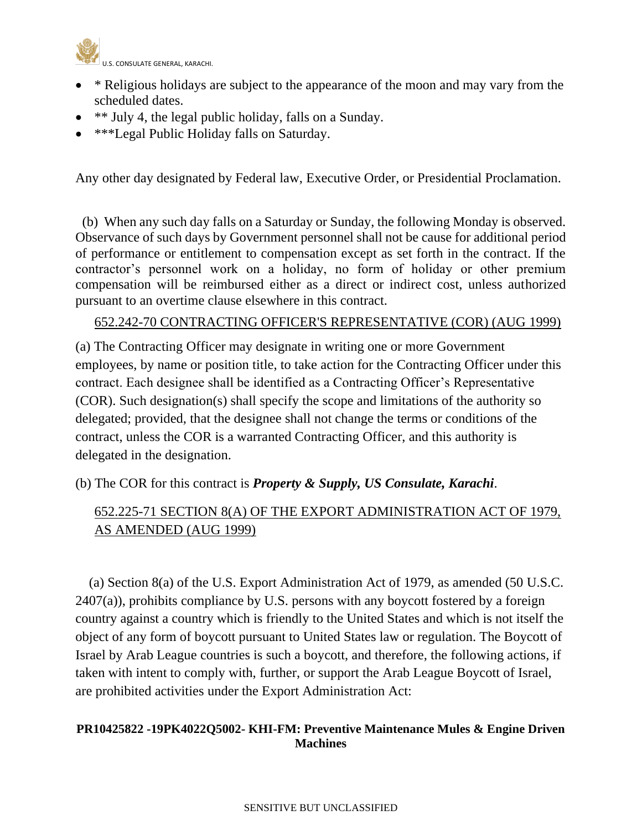

- \* Religious holidays are subject to the appearance of the moon and may vary from the scheduled dates.
- \*\* July 4, the legal public holiday, falls on a Sunday.
- \*\*\*Legal Public Holiday falls on Saturday.

Any other day designated by Federal law, Executive Order, or Presidential Proclamation.

 (b) When any such day falls on a Saturday or Sunday, the following Monday is observed. Observance of such days by Government personnel shall not be cause for additional period of performance or entitlement to compensation except as set forth in the contract. If the contractor's personnel work on a holiday, no form of holiday or other premium compensation will be reimbursed either as a direct or indirect cost, unless authorized pursuant to an overtime clause elsewhere in this contract.

## 652.242-70 CONTRACTING OFFICER'S REPRESENTATIVE (COR) (AUG 1999)

(a) The Contracting Officer may designate in writing one or more Government employees, by name or position title, to take action for the Contracting Officer under this contract. Each designee shall be identified as a Contracting Officer's Representative (COR). Such designation(s) shall specify the scope and limitations of the authority so delegated; provided, that the designee shall not change the terms or conditions of the contract, unless the COR is a warranted Contracting Officer, and this authority is delegated in the designation.

(b) The COR for this contract is *Property & Supply, US Consulate, Karachi*.

# 652.225-71 SECTION 8(A) OF THE EXPORT ADMINISTRATION ACT OF 1979, AS AMENDED (AUG 1999)

 (a) Section 8(a) of the U.S. Export Administration Act of 1979, as amended (50 U.S.C.  $2407(a)$ , prohibits compliance by U.S. persons with any boycott fostered by a foreign country against a country which is friendly to the United States and which is not itself the object of any form of boycott pursuant to United States law or regulation. The Boycott of Israel by Arab League countries is such a boycott, and therefore, the following actions, if taken with intent to comply with, further, or support the Arab League Boycott of Israel, are prohibited activities under the Export Administration Act: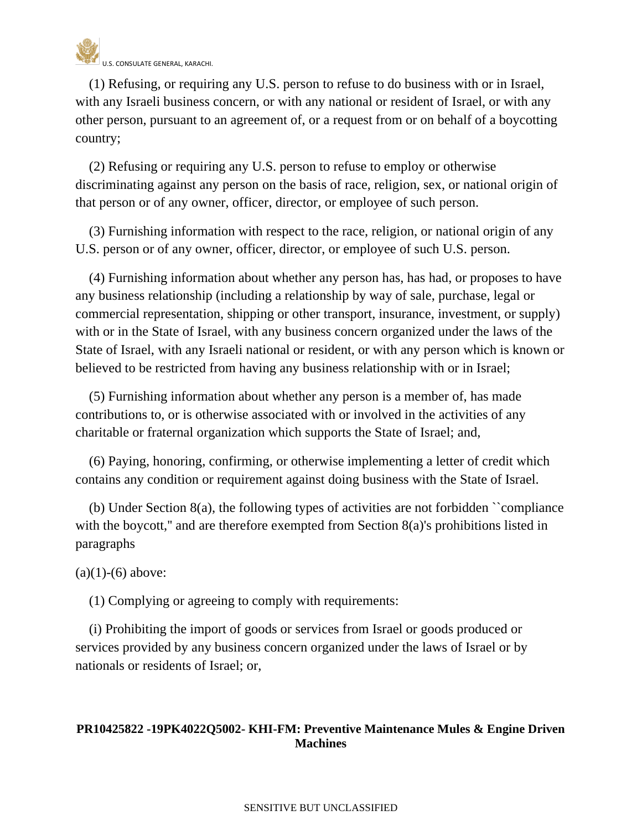

 (1) Refusing, or requiring any U.S. person to refuse to do business with or in Israel, with any Israeli business concern, or with any national or resident of Israel, or with any other person, pursuant to an agreement of, or a request from or on behalf of a boycotting country;

 (2) Refusing or requiring any U.S. person to refuse to employ or otherwise discriminating against any person on the basis of race, religion, sex, or national origin of that person or of any owner, officer, director, or employee of such person.

 (3) Furnishing information with respect to the race, religion, or national origin of any U.S. person or of any owner, officer, director, or employee of such U.S. person.

 (4) Furnishing information about whether any person has, has had, or proposes to have any business relationship (including a relationship by way of sale, purchase, legal or commercial representation, shipping or other transport, insurance, investment, or supply) with or in the State of Israel, with any business concern organized under the laws of the State of Israel, with any Israeli national or resident, or with any person which is known or believed to be restricted from having any business relationship with or in Israel;

 (5) Furnishing information about whether any person is a member of, has made contributions to, or is otherwise associated with or involved in the activities of any charitable or fraternal organization which supports the State of Israel; and,

 (6) Paying, honoring, confirming, or otherwise implementing a letter of credit which contains any condition or requirement against doing business with the State of Israel.

 (b) Under Section 8(a), the following types of activities are not forbidden ``compliance with the boycott," and are therefore exempted from Section 8(a)'s prohibitions listed in paragraphs

 $(a)(1)-(6)$  above:

(1) Complying or agreeing to comply with requirements:

 (i) Prohibiting the import of goods or services from Israel or goods produced or services provided by any business concern organized under the laws of Israel or by nationals or residents of Israel; or,

## **PR10425822 -19PK4022Q5002- KHI-FM: Preventive Maintenance Mules & Engine Driven Machines**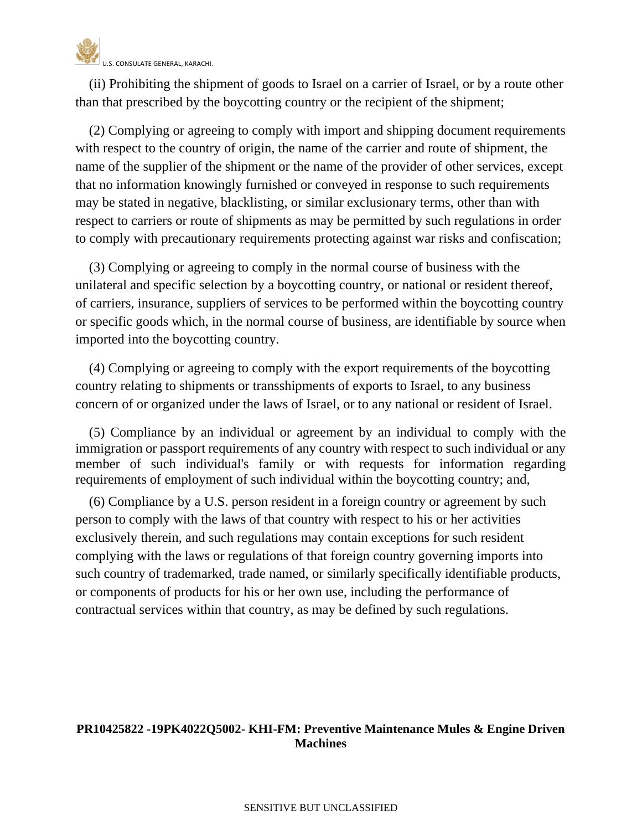

 (ii) Prohibiting the shipment of goods to Israel on a carrier of Israel, or by a route other than that prescribed by the boycotting country or the recipient of the shipment;

 (2) Complying or agreeing to comply with import and shipping document requirements with respect to the country of origin, the name of the carrier and route of shipment, the name of the supplier of the shipment or the name of the provider of other services, except that no information knowingly furnished or conveyed in response to such requirements may be stated in negative, blacklisting, or similar exclusionary terms, other than with respect to carriers or route of shipments as may be permitted by such regulations in order to comply with precautionary requirements protecting against war risks and confiscation;

 (3) Complying or agreeing to comply in the normal course of business with the unilateral and specific selection by a boycotting country, or national or resident thereof, of carriers, insurance, suppliers of services to be performed within the boycotting country or specific goods which, in the normal course of business, are identifiable by source when imported into the boycotting country.

 (4) Complying or agreeing to comply with the export requirements of the boycotting country relating to shipments or transshipments of exports to Israel, to any business concern of or organized under the laws of Israel, or to any national or resident of Israel.

 (5) Compliance by an individual or agreement by an individual to comply with the immigration or passport requirements of any country with respect to such individual or any member of such individual's family or with requests for information regarding requirements of employment of such individual within the boycotting country; and,

 (6) Compliance by a U.S. person resident in a foreign country or agreement by such person to comply with the laws of that country with respect to his or her activities exclusively therein, and such regulations may contain exceptions for such resident complying with the laws or regulations of that foreign country governing imports into such country of trademarked, trade named, or similarly specifically identifiable products, or components of products for his or her own use, including the performance of contractual services within that country, as may be defined by such regulations.